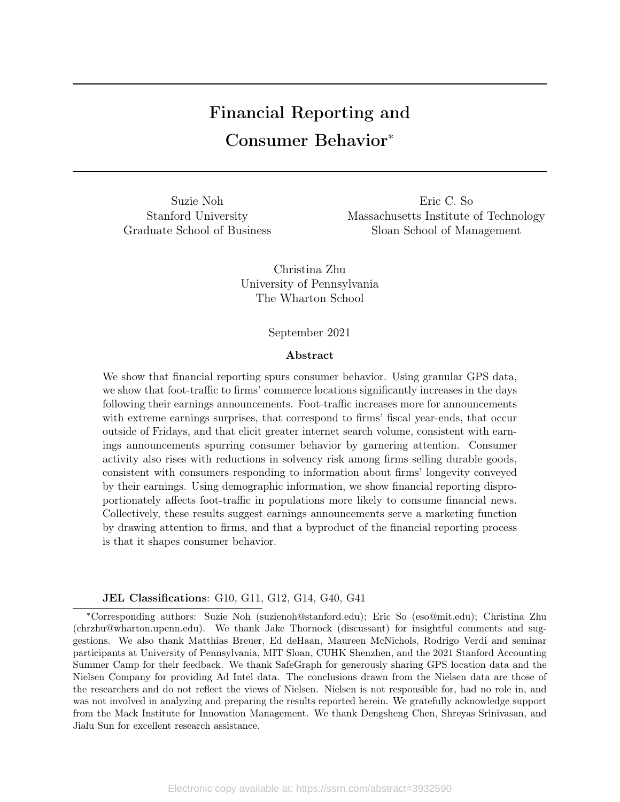# Financial Reporting and Consumer Behavior<sup>∗</sup>

Suzie Noh Eric C. So Stanford University Massachusetts Institute of Technology Graduate School of Business Sloan School of Management

> Christina Zhu University of Pennsylvania The Wharton School

#### September 2021

#### Abstract

We show that financial reporting spurs consumer behavior. Using granular GPS data, we show that foot-traffic to firms' commerce locations significantly increases in the days following their earnings announcements. Foot-traffic increases more for announcements with extreme earnings surprises, that correspond to firms' fiscal year-ends, that occur outside of Fridays, and that elicit greater internet search volume, consistent with earnings announcements spurring consumer behavior by garnering attention. Consumer activity also rises with reductions in solvency risk among firms selling durable goods, consistent with consumers responding to information about firms' longevity conveyed by their earnings. Using demographic information, we show financial reporting disproportionately affects foot-traffic in populations more likely to consume financial news. Collectively, these results suggest earnings announcements serve a marketing function by drawing attention to firms, and that a byproduct of the financial reporting process is that it shapes consumer behavior.

#### JEL Classifications: G10, G11, G12, G14, G40, G41

<sup>∗</sup>Corresponding authors: Suzie Noh (suzienoh@stanford.edu); Eric So (eso@mit.edu); Christina Zhu (chrzhu@wharton.upenn.edu). We thank Jake Thornock (discussant) for insightful comments and suggestions. We also thank Matthias Breuer, Ed deHaan, Maureen McNichols, Rodrigo Verdi and seminar participants at University of Pennsylvania, MIT Sloan, CUHK Shenzhen, and the 2021 Stanford Accounting Summer Camp for their feedback. We thank SafeGraph for generously sharing GPS location data and the Nielsen Company for providing Ad Intel data. The conclusions drawn from the Nielsen data are those of the researchers and do not reflect the views of Nielsen. Nielsen is not responsible for, had no role in, and was not involved in analyzing and preparing the results reported herein. We gratefully acknowledge support from the Mack Institute for Innovation Management. We thank Dengsheng Chen, Shreyas Srinivasan, and Jialu Sun for excellent research assistance.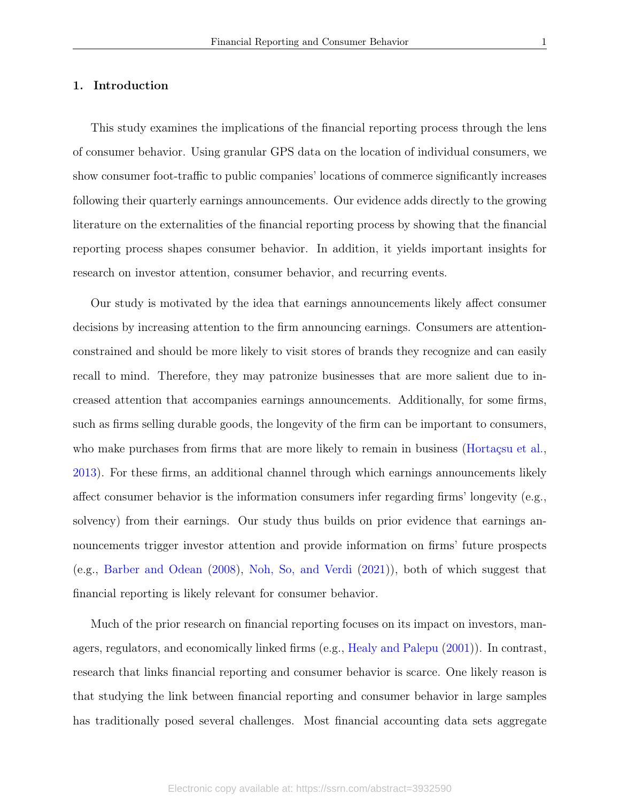## 1. Introduction

This study examines the implications of the financial reporting process through the lens of consumer behavior. Using granular GPS data on the location of individual consumers, we show consumer foot-traffic to public companies' locations of commerce significantly increases following their quarterly earnings announcements. Our evidence adds directly to the growing literature on the externalities of the financial reporting process by showing that the financial reporting process shapes consumer behavior. In addition, it yields important insights for research on investor attention, consumer behavior, and recurring events.

Our study is motivated by the idea that earnings announcements likely affect consumer decisions by increasing attention to the firm announcing earnings. Consumers are attentionconstrained and should be more likely to visit stores of brands they recognize and can easily recall to mind. Therefore, they may patronize businesses that are more salient due to increased attention that accompanies earnings announcements. Additionally, for some firms, such as firms selling durable goods, the longevity of the firm can be important to consumers, who make purchases from firms that are more likely to remain in business [\(Hortaçsu et al.,](#page-30-0) [2013\)](#page-30-0). For these firms, an additional channel through which earnings announcements likely affect consumer behavior is the information consumers infer regarding firms' longevity (e.g., solvency) from their earnings. Our study thus builds on prior evidence that earnings announcements trigger investor attention and provide information on firms' future prospects (e.g., [Barber and Odean](#page-30-1) [\(2008\)](#page-30-1), [Noh, So, and Verdi](#page-31-0) [\(2021\)](#page-31-0)), both of which suggest that financial reporting is likely relevant for consumer behavior.

Much of the prior research on financial reporting focuses on its impact on investors, managers, regulators, and economically linked firms (e.g., [Healy and Palepu](#page-30-2) [\(2001\)](#page-30-2)). In contrast, research that links financial reporting and consumer behavior is scarce. One likely reason is that studying the link between financial reporting and consumer behavior in large samples has traditionally posed several challenges. Most financial accounting data sets aggregate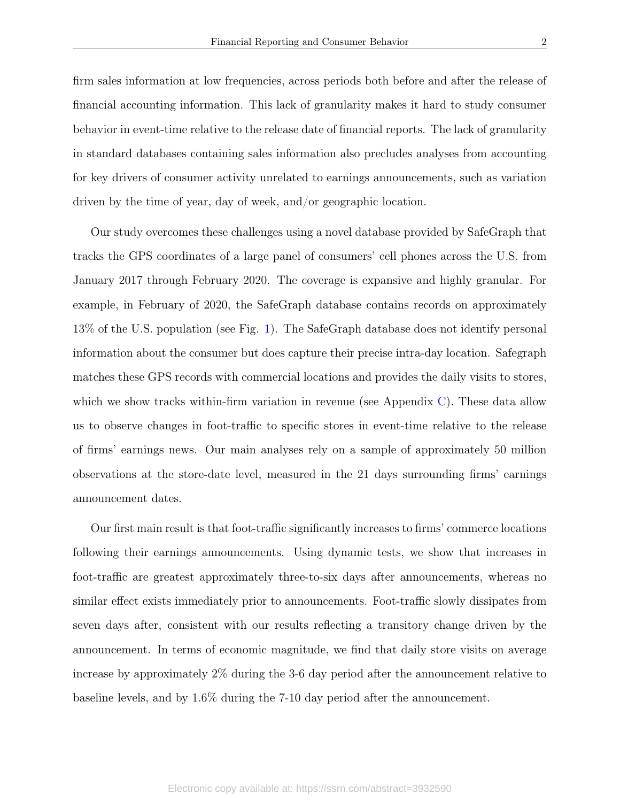firm sales information at low frequencies, across periods both before and after the release of financial accounting information. This lack of granularity makes it hard to study consumer behavior in event-time relative to the release date of financial reports. The lack of granularity in standard databases containing sales information also precludes analyses from accounting for key drivers of consumer activity unrelated to earnings announcements, such as variation driven by the time of year, day of week, and/or geographic location.

Our study overcomes these challenges using a novel database provided by SafeGraph that tracks the GPS coordinates of a large panel of consumers' cell phones across the U.S. from January 2017 through February 2020. The coverage is expansive and highly granular. For example, in February of 2020, the SafeGraph database contains records on approximately 13% of the U.S. population (see Fig. [1\)](#page-32-0). The SafeGraph database does not identify personal information about the consumer but does capture their precise intra-day location. Safegraph matches these GPS records with commercial locations and provides the daily visits to stores, which we show tracks within-firm variation in revenue (see Appendix  $C$ ). These data allow us to observe changes in foot-traffic to specific stores in event-time relative to the release of firms' earnings news. Our main analyses rely on a sample of approximately 50 million observations at the store-date level, measured in the 21 days surrounding firms' earnings announcement dates.

Our first main result is that foot-traffic significantly increases to firms' commerce locations following their earnings announcements. Using dynamic tests, we show that increases in foot-traffic are greatest approximately three-to-six days after announcements, whereas no similar effect exists immediately prior to announcements. Foot-traffic slowly dissipates from seven days after, consistent with our results reflecting a transitory change driven by the announcement. In terms of economic magnitude, we find that daily store visits on average increase by approximately 2% during the 3-6 day period after the announcement relative to baseline levels, and by 1.6% during the 7-10 day period after the announcement.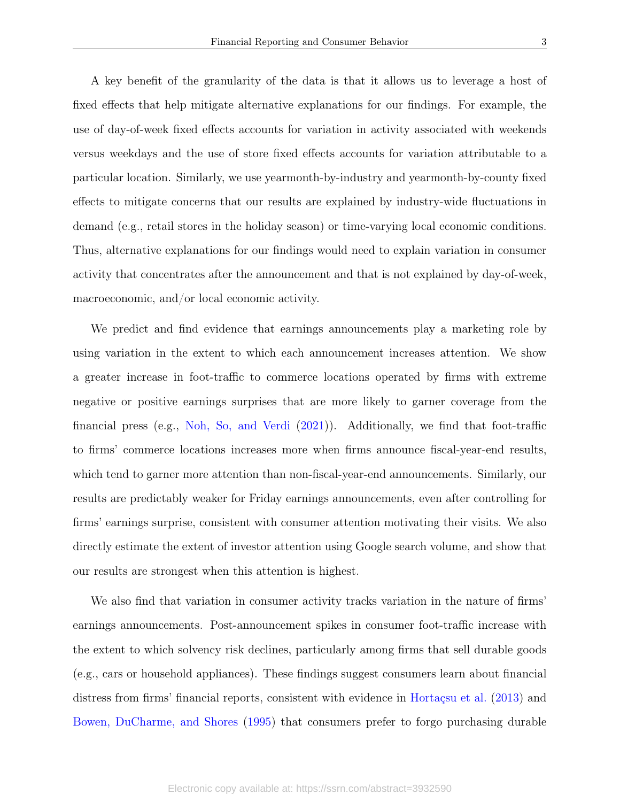A key benefit of the granularity of the data is that it allows us to leverage a host of fixed effects that help mitigate alternative explanations for our findings. For example, the use of day-of-week fixed effects accounts for variation in activity associated with weekends versus weekdays and the use of store fixed effects accounts for variation attributable to a particular location. Similarly, we use yearmonth-by-industry and yearmonth-by-county fixed effects to mitigate concerns that our results are explained by industry-wide fluctuations in demand (e.g., retail stores in the holiday season) or time-varying local economic conditions. Thus, alternative explanations for our findings would need to explain variation in consumer activity that concentrates after the announcement and that is not explained by day-of-week, macroeconomic, and/or local economic activity.

We predict and find evidence that earnings announcements play a marketing role by using variation in the extent to which each announcement increases attention. We show a greater increase in foot-traffic to commerce locations operated by firms with extreme negative or positive earnings surprises that are more likely to garner coverage from the financial press (e.g., [Noh, So, and Verdi](#page-31-0) [\(2021\)](#page-31-0)). Additionally, we find that foot-traffic to firms' commerce locations increases more when firms announce fiscal-year-end results, which tend to garner more attention than non-fiscal-year-end announcements. Similarly, our results are predictably weaker for Friday earnings announcements, even after controlling for firms' earnings surprise, consistent with consumer attention motivating their visits. We also directly estimate the extent of investor attention using Google search volume, and show that our results are strongest when this attention is highest.

We also find that variation in consumer activity tracks variation in the nature of firms' earnings announcements. Post-announcement spikes in consumer foot-traffic increase with the extent to which solvency risk declines, particularly among firms that sell durable goods (e.g., cars or household appliances). These findings suggest consumers learn about financial distress from firms' financial reports, consistent with evidence in [Hortaçsu et al.](#page-30-0) [\(2013\)](#page-30-0) and [Bowen, DuCharme, and Shores](#page-30-3) [\(1995\)](#page-30-3) that consumers prefer to forgo purchasing durable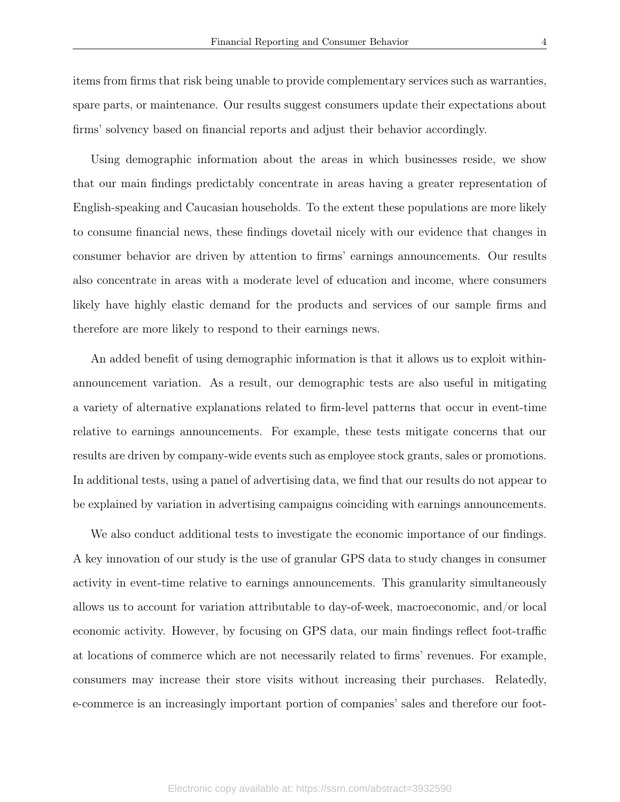items from firms that risk being unable to provide complementary services such as warranties, spare parts, or maintenance. Our results suggest consumers update their expectations about firms' solvency based on financial reports and adjust their behavior accordingly.

Using demographic information about the areas in which businesses reside, we show that our main findings predictably concentrate in areas having a greater representation of English-speaking and Caucasian households. To the extent these populations are more likely to consume financial news, these findings dovetail nicely with our evidence that changes in consumer behavior are driven by attention to firms' earnings announcements. Our results also concentrate in areas with a moderate level of education and income, where consumers likely have highly elastic demand for the products and services of our sample firms and therefore are more likely to respond to their earnings news.

An added benefit of using demographic information is that it allows us to exploit withinannouncement variation. As a result, our demographic tests are also useful in mitigating a variety of alternative explanations related to firm-level patterns that occur in event-time relative to earnings announcements. For example, these tests mitigate concerns that our results are driven by company-wide events such as employee stock grants, sales or promotions. In additional tests, using a panel of advertising data, we find that our results do not appear to be explained by variation in advertising campaigns coinciding with earnings announcements.

We also conduct additional tests to investigate the economic importance of our findings. A key innovation of our study is the use of granular GPS data to study changes in consumer activity in event-time relative to earnings announcements. This granularity simultaneously allows us to account for variation attributable to day-of-week, macroeconomic, and/or local economic activity. However, by focusing on GPS data, our main findings reflect foot-traffic at locations of commerce which are not necessarily related to firms' revenues. For example, consumers may increase their store visits without increasing their purchases. Relatedly, e-commerce is an increasingly important portion of companies' sales and therefore our foot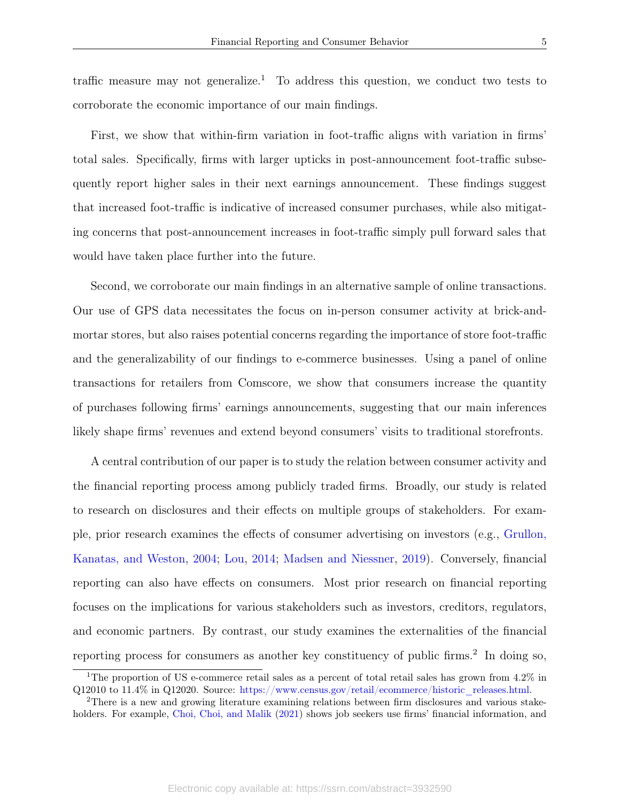traffic measure may not generalize.<sup>1</sup> To address this question, we conduct two tests to corroborate the economic importance of our main findings.

First, we show that within-firm variation in foot-traffic aligns with variation in firms' total sales. Specifically, firms with larger upticks in post-announcement foot-traffic subsequently report higher sales in their next earnings announcement. These findings suggest that increased foot-traffic is indicative of increased consumer purchases, while also mitigating concerns that post-announcement increases in foot-traffic simply pull forward sales that would have taken place further into the future.

Second, we corroborate our main findings in an alternative sample of online transactions. Our use of GPS data necessitates the focus on in-person consumer activity at brick-andmortar stores, but also raises potential concerns regarding the importance of store foot-traffic and the generalizability of our findings to e-commerce businesses. Using a panel of online transactions for retailers from Comscore, we show that consumers increase the quantity of purchases following firms' earnings announcements, suggesting that our main inferences likely shape firms' revenues and extend beyond consumers' visits to traditional storefronts.

A central contribution of our paper is to study the relation between consumer activity and the financial reporting process among publicly traded firms. Broadly, our study is related to research on disclosures and their effects on multiple groups of stakeholders. For example, prior research examines the effects of consumer advertising on investors (e.g., [Grullon,](#page-30-4) [Kanatas, and Weston,](#page-30-4) [2004;](#page-30-4) [Lou,](#page-31-1) [2014;](#page-31-1) [Madsen and Niessner,](#page-31-2) [2019\)](#page-31-2). Conversely, financial reporting can also have effects on consumers. Most prior research on financial reporting focuses on the implications for various stakeholders such as investors, creditors, regulators, and economic partners. By contrast, our study examines the externalities of the financial reporting process for consumers as another key constituency of public firms.<sup>2</sup> In doing so,

<sup>&</sup>lt;sup>1</sup>The proportion of US e-commerce retail sales as a percent of total retail sales has grown from 4.2% in Q12010 to 11.4% in Q12020. Source: [https://www.census.gov/retail/ecommerce/historic\\_releases.html.](https://www.census.gov/retail/ecommerce/historic_releases.html)

<sup>2</sup>There is a new and growing literature examining relations between firm disclosures and various stake-holders. For example, [Choi, Choi, and Malik](#page-30-5) [\(2021\)](#page-30-5) shows job seekers use firms' financial information, and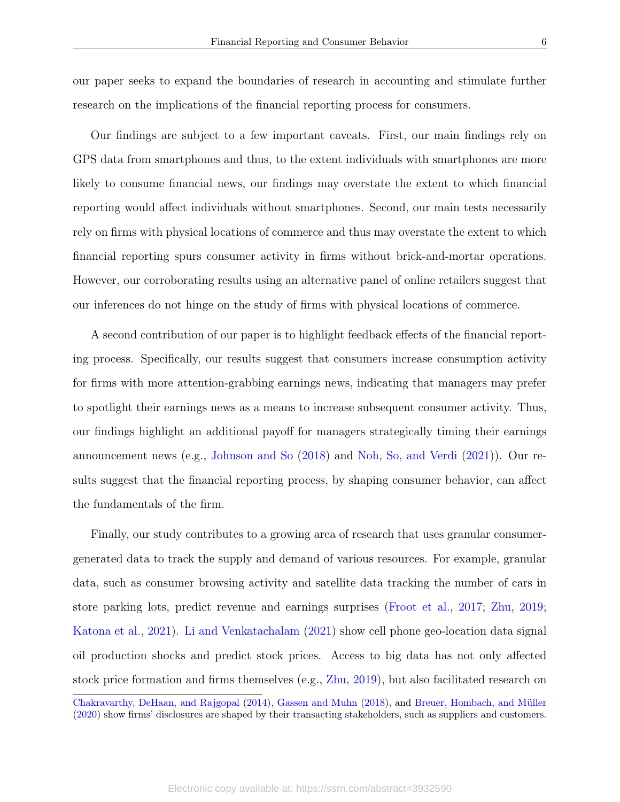our paper seeks to expand the boundaries of research in accounting and stimulate further research on the implications of the financial reporting process for consumers.

Our findings are subject to a few important caveats. First, our main findings rely on GPS data from smartphones and thus, to the extent individuals with smartphones are more likely to consume financial news, our findings may overstate the extent to which financial reporting would affect individuals without smartphones. Second, our main tests necessarily rely on firms with physical locations of commerce and thus may overstate the extent to which financial reporting spurs consumer activity in firms without brick-and-mortar operations. However, our corroborating results using an alternative panel of online retailers suggest that our inferences do not hinge on the study of firms with physical locations of commerce.

A second contribution of our paper is to highlight feedback effects of the financial reporting process. Specifically, our results suggest that consumers increase consumption activity for firms with more attention-grabbing earnings news, indicating that managers may prefer to spotlight their earnings news as a means to increase subsequent consumer activity. Thus, our findings highlight an additional payoff for managers strategically timing their earnings announcement news (e.g., [Johnson and So](#page-30-6) [\(2018\)](#page-30-6) and [Noh, So, and Verdi](#page-31-0) [\(2021\)](#page-31-0)). Our results suggest that the financial reporting process, by shaping consumer behavior, can affect the fundamentals of the firm.

Finally, our study contributes to a growing area of research that uses granular consumergenerated data to track the supply and demand of various resources. For example, granular data, such as consumer browsing activity and satellite data tracking the number of cars in store parking lots, predict revenue and earnings surprises [\(Froot et al.,](#page-30-7) [2017;](#page-30-7) [Zhu,](#page-31-3) [2019;](#page-31-3) [Katona et al.,](#page-31-4) [2021\)](#page-31-4). [Li and Venkatachalam](#page-31-5) [\(2021\)](#page-31-5) show cell phone geo-location data signal oil production shocks and predict stock prices. Access to big data has not only affected stock price formation and firms themselves (e.g., [Zhu,](#page-31-3) [2019\)](#page-31-3), but also facilitated research on

[Chakravarthy, DeHaan, and Rajgopal](#page-30-8) [\(2014\)](#page-30-8), [Gassen and Muhn](#page-30-9) [\(2018\)](#page-30-9), and [Breuer, Hombach, and Müller](#page-30-10) [\(2020\)](#page-30-10) show firms' disclosures are shaped by their transacting stakeholders, such as suppliers and customers.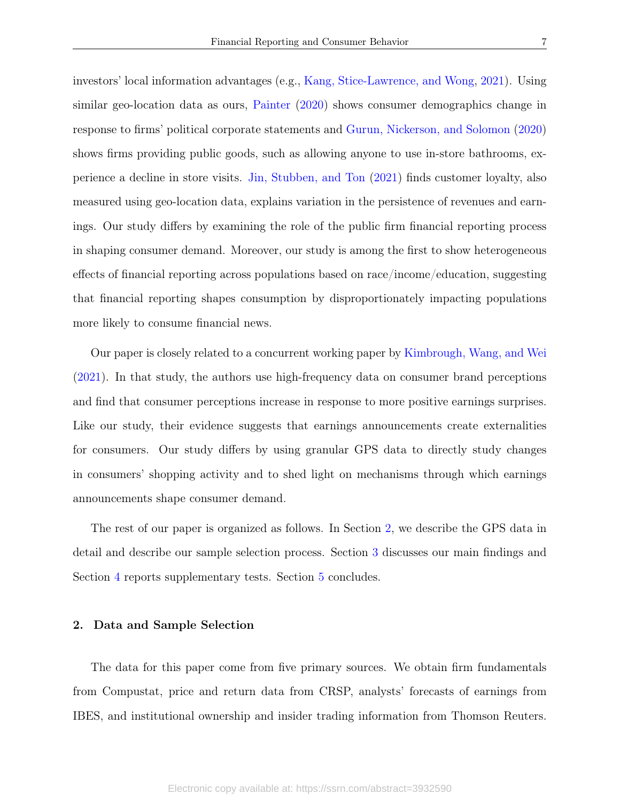investors' local information advantages (e.g., [Kang, Stice-Lawrence, and Wong,](#page-30-11) [2021\)](#page-30-11). Using similar geo-location data as ours, [Painter](#page-31-6) [\(2020\)](#page-31-6) shows consumer demographics change in response to firms' political corporate statements and [Gurun, Nickerson, and Solomon](#page-30-12) [\(2020\)](#page-30-12) shows firms providing public goods, such as allowing anyone to use in-store bathrooms, experience a decline in store visits. [Jin, Stubben, and Ton](#page-30-13) [\(2021\)](#page-30-13) finds customer loyalty, also measured using geo-location data, explains variation in the persistence of revenues and earnings. Our study differs by examining the role of the public firm financial reporting process in shaping consumer demand. Moreover, our study is among the first to show heterogeneous effects of financial reporting across populations based on race/income/education, suggesting that financial reporting shapes consumption by disproportionately impacting populations more likely to consume financial news.

Our paper is closely related to a concurrent working paper by [Kimbrough, Wang, and Wei](#page-31-7) [\(2021\)](#page-31-7). In that study, the authors use high-frequency data on consumer brand perceptions and find that consumer perceptions increase in response to more positive earnings surprises. Like our study, their evidence suggests that earnings announcements create externalities for consumers. Our study differs by using granular GPS data to directly study changes in consumers' shopping activity and to shed light on mechanisms through which earnings announcements shape consumer demand.

The rest of our paper is organized as follows. In Section [2,](#page-7-0) we describe the GPS data in detail and describe our sample selection process. Section [3](#page-11-0) discusses our main findings and Section [4](#page-19-0) reports supplementary tests. Section [5](#page-24-0) concludes.

#### <span id="page-7-0"></span>2. Data and Sample Selection

The data for this paper come from five primary sources. We obtain firm fundamentals from Compustat, price and return data from CRSP, analysts' forecasts of earnings from IBES, and institutional ownership and insider trading information from Thomson Reuters.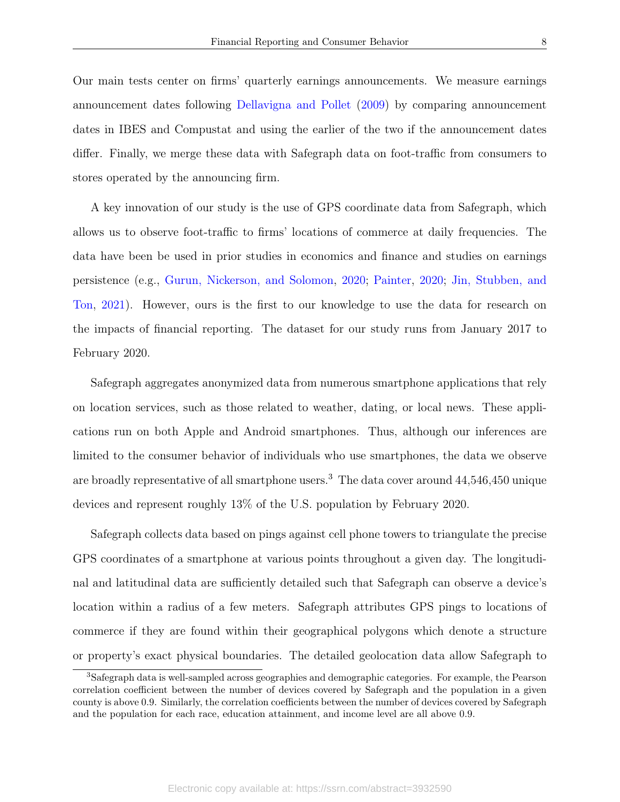Our main tests center on firms' quarterly earnings announcements. We measure earnings announcement dates following [Dellavigna and Pollet](#page-30-14) [\(2009\)](#page-30-14) by comparing announcement dates in IBES and Compustat and using the earlier of the two if the announcement dates differ. Finally, we merge these data with Safegraph data on foot-traffic from consumers to stores operated by the announcing firm.

A key innovation of our study is the use of GPS coordinate data from Safegraph, which allows us to observe foot-traffic to firms' locations of commerce at daily frequencies. The data have been be used in prior studies in economics and finance and studies on earnings persistence (e.g., [Gurun, Nickerson, and Solomon,](#page-30-12) [2020;](#page-30-12) [Painter,](#page-31-6) [2020;](#page-31-6) [Jin, Stubben, and](#page-30-13) [Ton,](#page-30-13) [2021\)](#page-30-13). However, ours is the first to our knowledge to use the data for research on the impacts of financial reporting. The dataset for our study runs from January 2017 to February 2020.

Safegraph aggregates anonymized data from numerous smartphone applications that rely on location services, such as those related to weather, dating, or local news. These applications run on both Apple and Android smartphones. Thus, although our inferences are limited to the consumer behavior of individuals who use smartphones, the data we observe are broadly representative of all smartphone users.<sup>3</sup> The data cover around 44,546,450 unique devices and represent roughly 13% of the U.S. population by February 2020.

Safegraph collects data based on pings against cell phone towers to triangulate the precise GPS coordinates of a smartphone at various points throughout a given day. The longitudinal and latitudinal data are sufficiently detailed such that Safegraph can observe a device's location within a radius of a few meters. Safegraph attributes GPS pings to locations of commerce if they are found within their geographical polygons which denote a structure or property's exact physical boundaries. The detailed geolocation data allow Safegraph to

<sup>3</sup>Safegraph data is well-sampled across geographies and demographic categories. For example, the Pearson correlation coefficient between the number of devices covered by Safegraph and the population in a given county is above 0.9. Similarly, the correlation coefficients between the number of devices covered by Safegraph and the population for each race, education attainment, and income level are all above 0.9.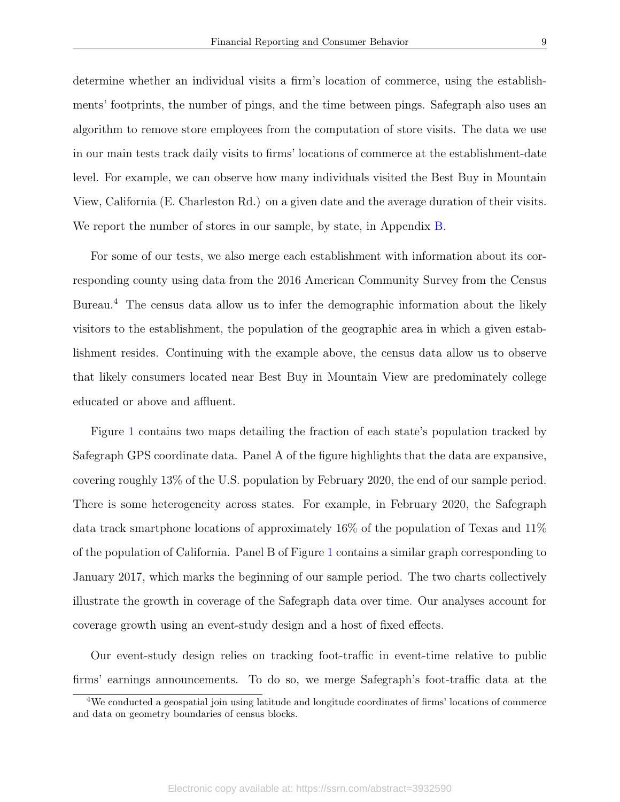determine whether an individual visits a firm's location of commerce, using the establishments' footprints, the number of pings, and the time between pings. Safegraph also uses an algorithm to remove store employees from the computation of store visits. The data we use in our main tests track daily visits to firms' locations of commerce at the establishment-date level. For example, we can observe how many individuals visited the Best Buy in Mountain View, California (E. Charleston Rd.) on a given date and the average duration of their visits. We report the number of stores in our sample, by state, in Appendix [B.](#page-27-0)

For some of our tests, we also merge each establishment with information about its corresponding county using data from the 2016 American Community Survey from the Census Bureau.<sup>4</sup> The census data allow us to infer the demographic information about the likely visitors to the establishment, the population of the geographic area in which a given establishment resides. Continuing with the example above, the census data allow us to observe that likely consumers located near Best Buy in Mountain View are predominately college educated or above and affluent.

Figure [1](#page-32-0) contains two maps detailing the fraction of each state's population tracked by Safegraph GPS coordinate data. Panel A of the figure highlights that the data are expansive, covering roughly 13% of the U.S. population by February 2020, the end of our sample period. There is some heterogeneity across states. For example, in February 2020, the Safegraph data track smartphone locations of approximately 16% of the population of Texas and 11% of the population of California. Panel B of Figure [1](#page-32-0) contains a similar graph corresponding to January 2017, which marks the beginning of our sample period. The two charts collectively illustrate the growth in coverage of the Safegraph data over time. Our analyses account for coverage growth using an event-study design and a host of fixed effects.

Our event-study design relies on tracking foot-traffic in event-time relative to public firms' earnings announcements. To do so, we merge Safegraph's foot-traffic data at the

<sup>4</sup>We conducted a geospatial join using latitude and longitude coordinates of firms' locations of commerce and data on geometry boundaries of census blocks.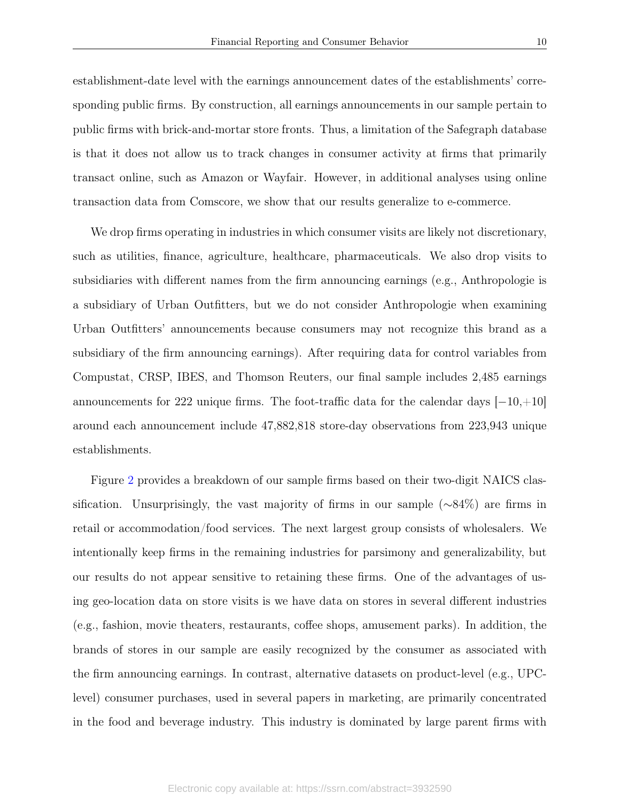establishment-date level with the earnings announcement dates of the establishments' corresponding public firms. By construction, all earnings announcements in our sample pertain to public firms with brick-and-mortar store fronts. Thus, a limitation of the Safegraph database is that it does not allow us to track changes in consumer activity at firms that primarily transact online, such as Amazon or Wayfair. However, in additional analyses using online transaction data from Comscore, we show that our results generalize to e-commerce.

We drop firms operating in industries in which consumer visits are likely not discretionary, such as utilities, finance, agriculture, healthcare, pharmaceuticals. We also drop visits to subsidiaries with different names from the firm announcing earnings (e.g., Anthropologie is a subsidiary of Urban Outfitters, but we do not consider Anthropologie when examining Urban Outfitters' announcements because consumers may not recognize this brand as a subsidiary of the firm announcing earnings). After requiring data for control variables from Compustat, CRSP, IBES, and Thomson Reuters, our final sample includes 2,485 earnings announcements for 222 unique firms. The foot-traffic data for the calendar days [−10,+10] around each announcement include 47,882,818 store-day observations from 223,943 unique establishments.

Figure [2](#page-33-0) provides a breakdown of our sample firms based on their two-digit NAICS classification. Unsurprisingly, the vast majority of firms in our sample (∼84%) are firms in retail or accommodation/food services. The next largest group consists of wholesalers. We intentionally keep firms in the remaining industries for parsimony and generalizability, but our results do not appear sensitive to retaining these firms. One of the advantages of using geo-location data on store visits is we have data on stores in several different industries (e.g., fashion, movie theaters, restaurants, coffee shops, amusement parks). In addition, the brands of stores in our sample are easily recognized by the consumer as associated with the firm announcing earnings. In contrast, alternative datasets on product-level (e.g., UPClevel) consumer purchases, used in several papers in marketing, are primarily concentrated in the food and beverage industry. This industry is dominated by large parent firms with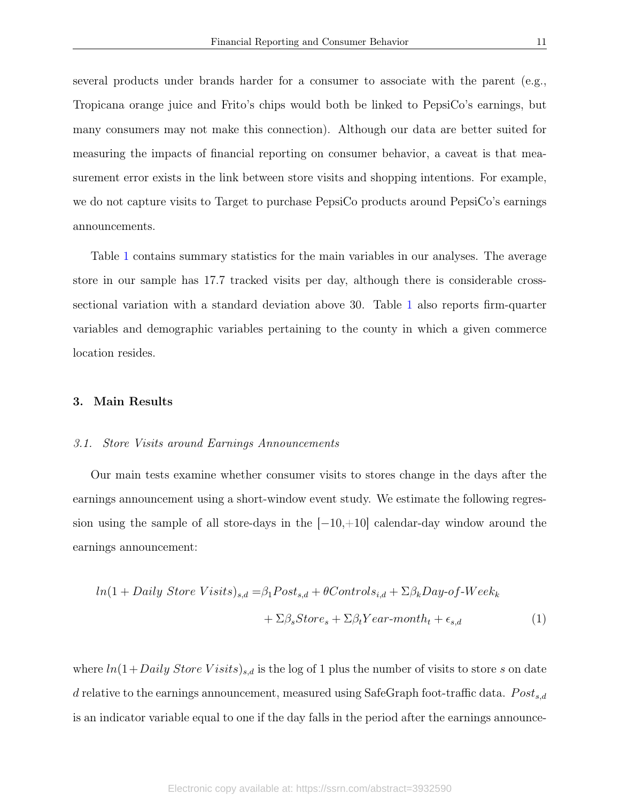several products under brands harder for a consumer to associate with the parent  $(e.g.,)$ Tropicana orange juice and Frito's chips would both be linked to PepsiCo's earnings, but many consumers may not make this connection). Although our data are better suited for measuring the impacts of financial reporting on consumer behavior, a caveat is that measurement error exists in the link between store visits and shopping intentions. For example, we do not capture visits to Target to purchase PepsiCo products around PepsiCo's earnings announcements.

Table [1](#page-36-0) contains summary statistics for the main variables in our analyses. The average store in our sample has 17.7 tracked visits per day, although there is considerable crosssectional variation with a standard deviation above 30. Table [1](#page-36-0) also reports firm-quarter variables and demographic variables pertaining to the county in which a given commerce location resides.

#### <span id="page-11-0"></span>3. Main Results

#### 3.1. Store Visits around Earnings Announcements

Our main tests examine whether consumer visits to stores change in the days after the earnings announcement using a short-window event study. We estimate the following regression using the sample of all store-days in the  $[-10,+10]$  calendar-day window around the earnings announcement:

<span id="page-11-1"></span>
$$
ln(1 + Daily Store Visits)_{s,d} = \beta_1 Post_{s,d} + \theta Controls_{i,d} + \Sigma \beta_k Day-of-Week_k
$$

$$
+ \Sigma \beta_s Store_s + \Sigma \beta_t Year-month_t + \epsilon_{s,d}
$$
(1)

where  $ln(1+Daily\;Store\;Visits)_{s,d}$  is the log of 1 plus the number of visits to store s on date d relative to the earnings announcement, measured using SafeGraph foot-traffic data.  $Post_{s,d}$ is an indicator variable equal to one if the day falls in the period after the earnings announce-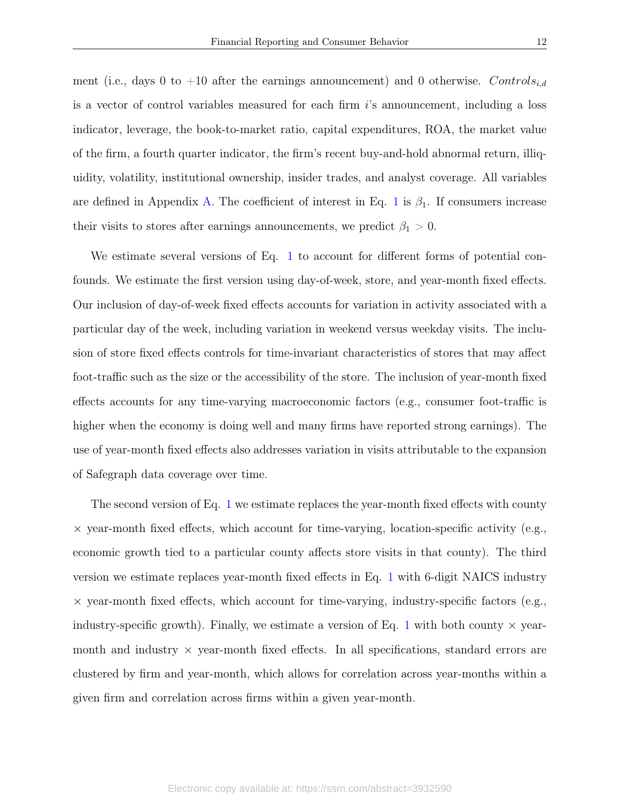ment (i.e., days 0 to +10 after the earnings announcement) and 0 otherwise. Controls<sub>i,d</sub> is a vector of control variables measured for each firm  $i$ 's announcement, including a loss indicator, leverage, the book-to-market ratio, capital expenditures, ROA, the market value of the firm, a fourth quarter indicator, the firm's recent buy-and-hold abnormal return, illiquidity, volatility, institutional ownership, insider trades, and analyst coverage. All variables are defined in Appendix [A.](#page-25-0) The coefficient of interest in Eq. [1](#page-11-1) is  $\beta_1$ . If consumers increase their visits to stores after earnings announcements, we predict  $\beta_1 > 0$ .

We estimate several versions of Eq. [1](#page-11-1) to account for different forms of potential confounds. We estimate the first version using day-of-week, store, and year-month fixed effects. Our inclusion of day-of-week fixed effects accounts for variation in activity associated with a particular day of the week, including variation in weekend versus weekday visits. The inclusion of store fixed effects controls for time-invariant characteristics of stores that may affect foot-traffic such as the size or the accessibility of the store. The inclusion of year-month fixed effects accounts for any time-varying macroeconomic factors (e.g., consumer foot-traffic is higher when the economy is doing well and many firms have reported strong earnings). The use of year-month fixed effects also addresses variation in visits attributable to the expansion of Safegraph data coverage over time.

The second version of Eq. [1](#page-11-1) we estimate replaces the year-month fixed effects with county  $\times$  year-month fixed effects, which account for time-varying, location-specific activity (e.g., economic growth tied to a particular county affects store visits in that county). The third version we estimate replaces year-month fixed effects in Eq. [1](#page-11-1) with 6-digit NAICS industry  $\times$  year-month fixed effects, which account for time-varying, industry-specific factors (e.g., industry-specific growth). Finally, we estimate a version of Eq. [1](#page-11-1) with both county  $\times$  yearmonth and industry  $\times$  year-month fixed effects. In all specifications, standard errors are clustered by firm and year-month, which allows for correlation across year-months within a given firm and correlation across firms within a given year-month.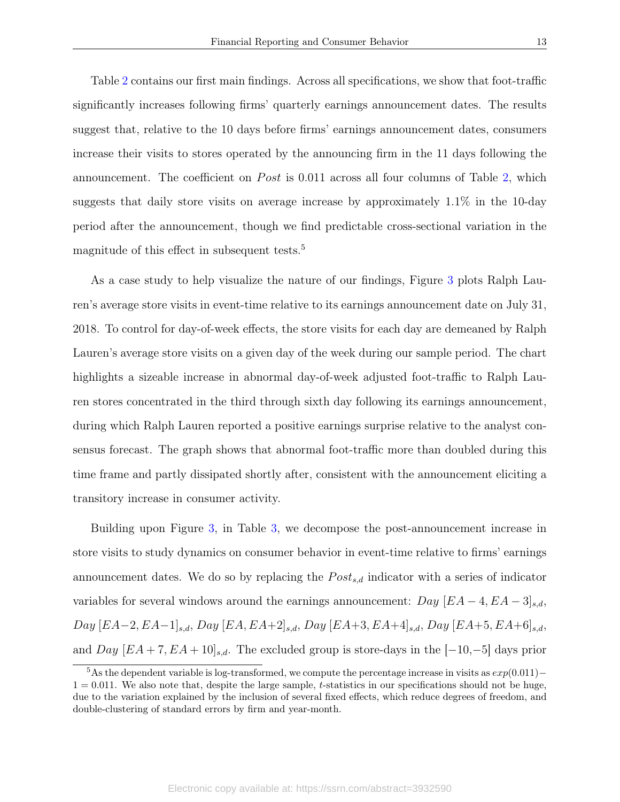Table [2](#page-37-0) contains our first main findings. Across all specifications, we show that foot-traffic significantly increases following firms' quarterly earnings announcement dates. The results suggest that, relative to the 10 days before firms' earnings announcement dates, consumers increase their visits to stores operated by the announcing firm in the 11 days following the announcement. The coefficient on *Post* is  $0.011$  across all four columns of Table [2,](#page-37-0) which suggests that daily store visits on average increase by approximately 1.1% in the 10-day period after the announcement, though we find predictable cross-sectional variation in the magnitude of this effect in subsequent tests.<sup>5</sup>

As a case study to help visualize the nature of our findings, Figure [3](#page-34-0) plots Ralph Lauren's average store visits in event-time relative to its earnings announcement date on July 31, 2018. To control for day-of-week effects, the store visits for each day are demeaned by Ralph Lauren's average store visits on a given day of the week during our sample period. The chart highlights a sizeable increase in abnormal day-of-week adjusted foot-traffic to Ralph Lauren stores concentrated in the third through sixth day following its earnings announcement, during which Ralph Lauren reported a positive earnings surprise relative to the analyst consensus forecast. The graph shows that abnormal foot-traffic more than doubled during this time frame and partly dissipated shortly after, consistent with the announcement eliciting a transitory increase in consumer activity.

Building upon Figure [3,](#page-34-0) in Table [3,](#page-38-0) we decompose the post-announcement increase in store visits to study dynamics on consumer behavior in event-time relative to firms' earnings announcement dates. We do so by replacing the  $Post_{s,d}$  indicator with a series of indicator variables for several windows around the earnings announcement:  $Day [EA-4, EA-3]_{s,d}$ ,  $Day \, [EA-2, EA-1]_{s,d}, \, Day \, [EA, EA+2]_{s,d}, \, Day \, [EA+3, EA+4]_{s,d}, \, Day \, [EA+5, EA+6]_{s,d},$ and  $Day [EA + 7, EA + 10]_{s,d}$ . The excluded group is store-days in the [−10,−5] days prior

<sup>&</sup>lt;sup>5</sup>As the dependent variable is log-transformed, we compute the percentage increase in visits as  $exp(0.011)$ −  $1 = 0.011$ . We also note that, despite the large sample, t-statistics in our specifications should not be huge, due to the variation explained by the inclusion of several fixed effects, which reduce degrees of freedom, and double-clustering of standard errors by firm and year-month.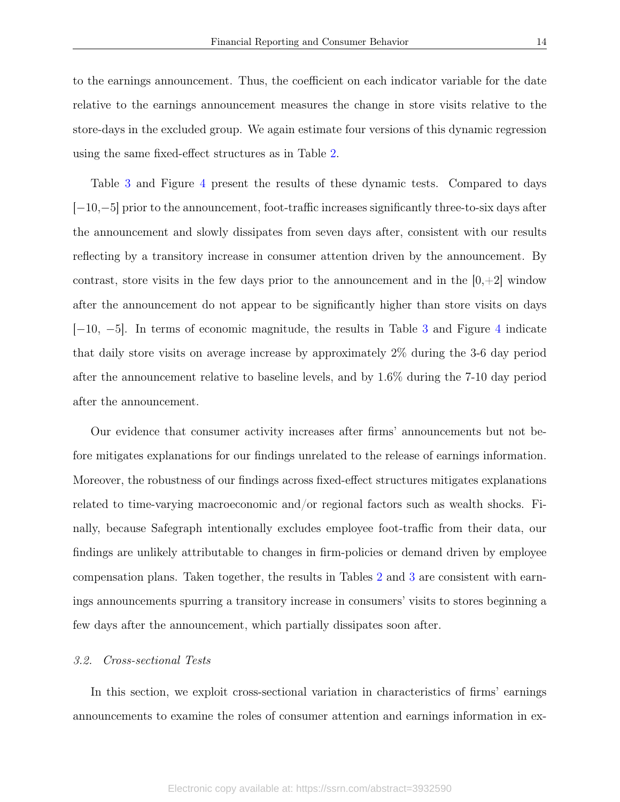to the earnings announcement. Thus, the coefficient on each indicator variable for the date relative to the earnings announcement measures the change in store visits relative to the store-days in the excluded group. We again estimate four versions of this dynamic regression using the same fixed-effect structures as in Table [2.](#page-37-0)

Table [3](#page-38-0) and Figure [4](#page-35-0) present the results of these dynamic tests. Compared to days [−10,−5] prior to the announcement, foot-traffic increases significantly three-to-six days after the announcement and slowly dissipates from seven days after, consistent with our results reflecting by a transitory increase in consumer attention driven by the announcement. By contrast, store visits in the few days prior to the announcement and in the  $[0, +2]$  window after the announcement do not appear to be significantly higher than store visits on days [−10, −5]. In terms of economic magnitude, the results in Table [3](#page-38-0) and Figure [4](#page-35-0) indicate that daily store visits on average increase by approximately 2% during the 3-6 day period after the announcement relative to baseline levels, and by 1.6% during the 7-10 day period after the announcement.

Our evidence that consumer activity increases after firms' announcements but not before mitigates explanations for our findings unrelated to the release of earnings information. Moreover, the robustness of our findings across fixed-effect structures mitigates explanations related to time-varying macroeconomic and/or regional factors such as wealth shocks. Finally, because Safegraph intentionally excludes employee foot-traffic from their data, our findings are unlikely attributable to changes in firm-policies or demand driven by employee compensation plans. Taken together, the results in Tables [2](#page-37-0) and [3](#page-38-0) are consistent with earnings announcements spurring a transitory increase in consumers' visits to stores beginning a few days after the announcement, which partially dissipates soon after.

#### 3.2. Cross-sectional Tests

In this section, we exploit cross-sectional variation in characteristics of firms' earnings announcements to examine the roles of consumer attention and earnings information in ex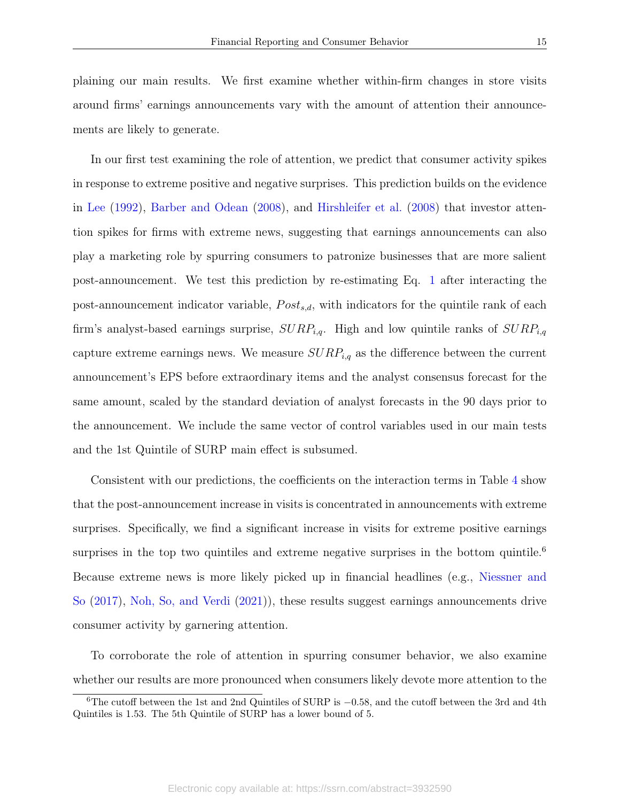plaining our main results. We first examine whether within-firm changes in store visits around firms' earnings announcements vary with the amount of attention their announcements are likely to generate.

In our first test examining the role of attention, we predict that consumer activity spikes in response to extreme positive and negative surprises. This prediction builds on the evidence in [Lee](#page-31-8) [\(1992\)](#page-31-8), [Barber and Odean](#page-30-1) [\(2008\)](#page-30-1), and [Hirshleifer et al.](#page-30-15) [\(2008\)](#page-30-15) that investor attention spikes for firms with extreme news, suggesting that earnings announcements can also play a marketing role by spurring consumers to patronize businesses that are more salient post-announcement. We test this prediction by re-estimating Eq. [1](#page-11-1) after interacting the post-announcement indicator variable,  $Post_{s,d}$ , with indicators for the quintile rank of each firm's analyst-based earnings surprise,  $\text{SURP}_{i,q}$ . High and low quintile ranks of  $\text{SURP}_{i,q}$ capture extreme earnings news. We measure  $\text{SURP}_{i,q}$  as the difference between the current announcement's EPS before extraordinary items and the analyst consensus forecast for the same amount, scaled by the standard deviation of analyst forecasts in the 90 days prior to the announcement. We include the same vector of control variables used in our main tests and the 1st Quintile of SURP main effect is subsumed.

Consistent with our predictions, the coefficients on the interaction terms in Table [4](#page-39-0) show that the post-announcement increase in visits is concentrated in announcements with extreme surprises. Specifically, we find a significant increase in visits for extreme positive earnings surprises in the top two quintiles and extreme negative surprises in the bottom quintile.<sup>6</sup> Because extreme news is more likely picked up in financial headlines (e.g., [Niessner and](#page-31-9) [So](#page-31-9) [\(2017\)](#page-31-9), [Noh, So, and Verdi](#page-31-0) [\(2021\)](#page-31-0)), these results suggest earnings announcements drive consumer activity by garnering attention.

To corroborate the role of attention in spurring consumer behavior, we also examine whether our results are more pronounced when consumers likely devote more attention to the

<sup>6</sup>The cutoff between the 1st and 2nd Quintiles of SURP is −0.58, and the cutoff between the 3rd and 4th Quintiles is 1.53. The 5th Quintile of SURP has a lower bound of 5.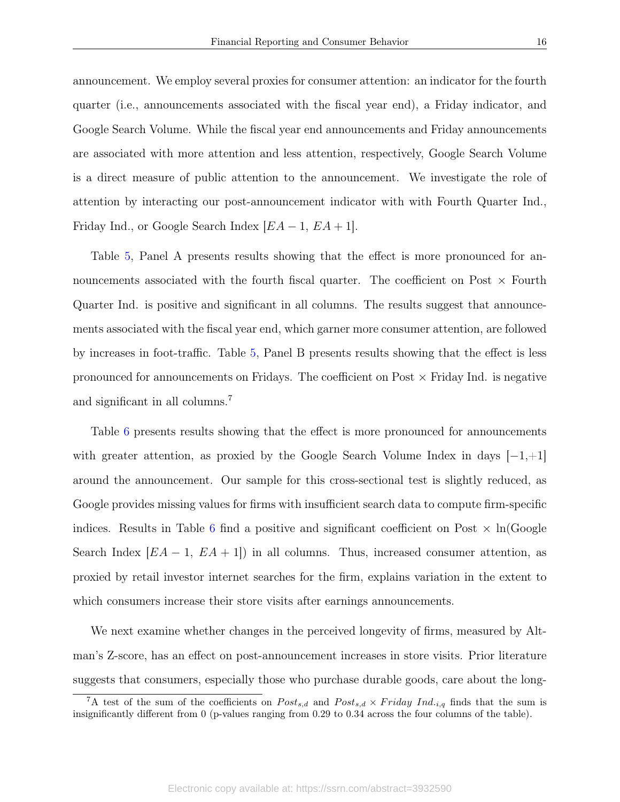announcement. We employ several proxies for consumer attention: an indicator for the fourth quarter (i.e., announcements associated with the fiscal year end), a Friday indicator, and Google Search Volume. While the fiscal year end announcements and Friday announcements are associated with more attention and less attention, respectively, Google Search Volume is a direct measure of public attention to the announcement. We investigate the role of attention by interacting our post-announcement indicator with with Fourth Quarter Ind., Friday Ind., or Google Search Index  $|EA-1, EA+1|$ .

Table [5,](#page-40-0) Panel A presents results showing that the effect is more pronounced for announcements associated with the fourth fiscal quarter. The coefficient on Post  $\times$  Fourth Quarter Ind. is positive and significant in all columns. The results suggest that announcements associated with the fiscal year end, which garner more consumer attention, are followed by increases in foot-traffic. Table [5,](#page-40-0) Panel B presents results showing that the effect is less pronounced for announcements on Fridays. The coefficient on Post  $\times$  Friday Ind. is negative and significant in all columns.<sup>7</sup>

Table [6](#page-41-0) presents results showing that the effect is more pronounced for announcements with greater attention, as proxied by the Google Search Volume Index in days  $[-1, +1]$ around the announcement. Our sample for this cross-sectional test is slightly reduced, as Google provides missing values for firms with insufficient search data to compute firm-specific indices. Results in Table [6](#page-41-0) find a positive and significant coefficient on Post  $\times$  ln(Google Search Index  $[EA-1, EA+1]$  in all columns. Thus, increased consumer attention, as proxied by retail investor internet searches for the firm, explains variation in the extent to which consumers increase their store visits after earnings announcements.

We next examine whether changes in the perceived longevity of firms, measured by Altman's Z-score, has an effect on post-announcement increases in store visits. Prior literature suggests that consumers, especially those who purchase durable goods, care about the long-

<sup>&</sup>lt;sup>7</sup>A test of the sum of the coefficients on  $Post_{s,d}$  and  $Post_{s,d} \times Friday$  Ind.<sub>i,q</sub> finds that the sum is insignificantly different from 0 (p-values ranging from 0.29 to 0.34 across the four columns of the table).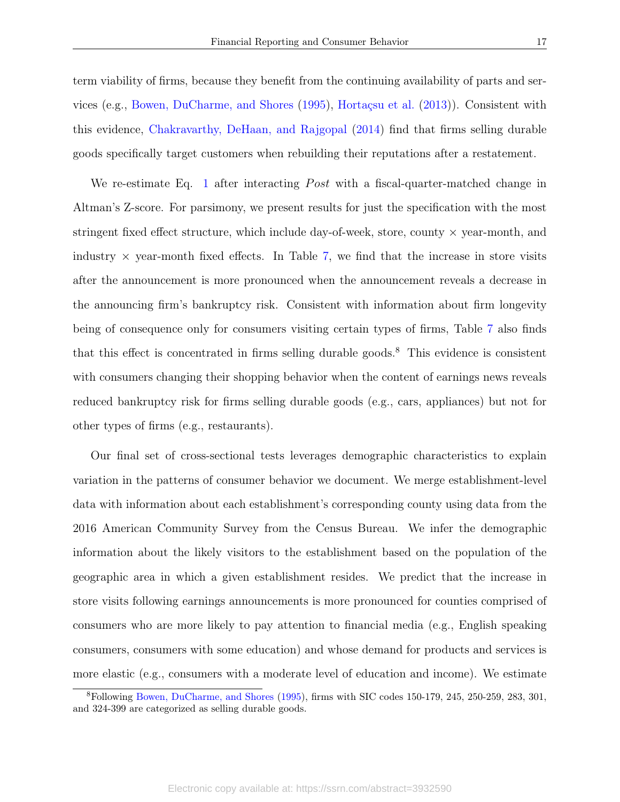this evidence, [Chakravarthy, DeHaan, and Rajgopal](#page-30-8) [\(2014\)](#page-30-8) find that firms selling durable goods specifically target customers when rebuilding their reputations after a restatement.

We re-estimate Eq. [1](#page-11-1) after interacting *Post* with a fiscal-quarter-matched change in Altman's Z-score. For parsimony, we present results for just the specification with the most stringent fixed effect structure, which include day-of-week, store, county  $\times$  year-month, and industry  $\times$  year-month fixed effects. In Table [7,](#page-42-0) we find that the increase in store visits after the announcement is more pronounced when the announcement reveals a decrease in the announcing firm's bankruptcy risk. Consistent with information about firm longevity being of consequence only for consumers visiting certain types of firms, Table [7](#page-42-0) also finds that this effect is concentrated in firms selling durable goods.<sup>8</sup> This evidence is consistent with consumers changing their shopping behavior when the content of earnings news reveals reduced bankruptcy risk for firms selling durable goods (e.g., cars, appliances) but not for other types of firms (e.g., restaurants).

Our final set of cross-sectional tests leverages demographic characteristics to explain variation in the patterns of consumer behavior we document. We merge establishment-level data with information about each establishment's corresponding county using data from the 2016 American Community Survey from the Census Bureau. We infer the demographic information about the likely visitors to the establishment based on the population of the geographic area in which a given establishment resides. We predict that the increase in store visits following earnings announcements is more pronounced for counties comprised of consumers who are more likely to pay attention to financial media (e.g., English speaking consumers, consumers with some education) and whose demand for products and services is more elastic (e.g., consumers with a moderate level of education and income). We estimate

<sup>8</sup>Following [Bowen, DuCharme, and Shores](#page-30-3) [\(1995\)](#page-30-3), firms with SIC codes 150-179, 245, 250-259, 283, 301, and 324-399 are categorized as selling durable goods.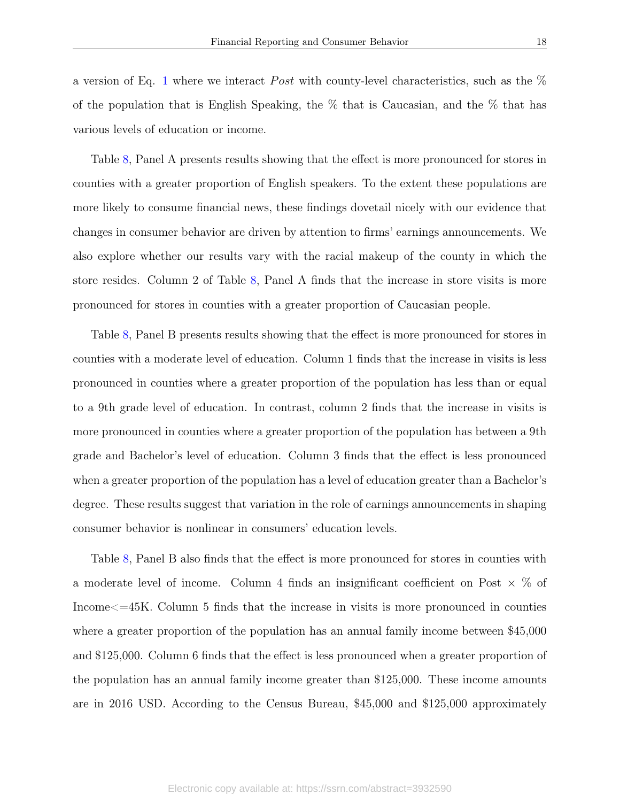a version of Eq. [1](#page-11-1) where we interact *Post* with county-level characteristics, such as the  $\%$ of the population that is English Speaking, the % that is Caucasian, and the % that has various levels of education or income.

Table [8,](#page-43-0) Panel A presents results showing that the effect is more pronounced for stores in counties with a greater proportion of English speakers. To the extent these populations are more likely to consume financial news, these findings dovetail nicely with our evidence that changes in consumer behavior are driven by attention to firms' earnings announcements. We also explore whether our results vary with the racial makeup of the county in which the store resides. Column 2 of Table [8,](#page-43-0) Panel A finds that the increase in store visits is more pronounced for stores in counties with a greater proportion of Caucasian people.

Table [8,](#page-43-0) Panel B presents results showing that the effect is more pronounced for stores in counties with a moderate level of education. Column 1 finds that the increase in visits is less pronounced in counties where a greater proportion of the population has less than or equal to a 9th grade level of education. In contrast, column 2 finds that the increase in visits is more pronounced in counties where a greater proportion of the population has between a 9th grade and Bachelor's level of education. Column 3 finds that the effect is less pronounced when a greater proportion of the population has a level of education greater than a Bachelor's degree. These results suggest that variation in the role of earnings announcements in shaping consumer behavior is nonlinear in consumers' education levels.

Table [8,](#page-43-0) Panel B also finds that the effect is more pronounced for stores in counties with a moderate level of income. Column 4 finds an insignificant coefficient on Post  $\times$  % of Income $\leq$  =45K. Column 5 finds that the increase in visits is more pronounced in counties where a greater proportion of the population has an annual family income between \$45,000 and \$125,000. Column 6 finds that the effect is less pronounced when a greater proportion of the population has an annual family income greater than \$125,000. These income amounts are in 2016 USD. According to the Census Bureau, \$45,000 and \$125,000 approximately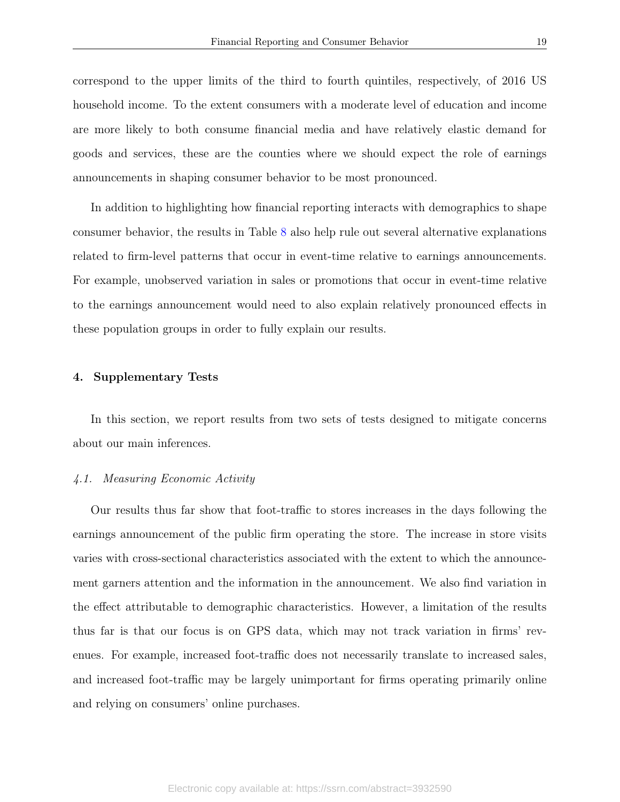correspond to the upper limits of the third to fourth quintiles, respectively, of 2016 US household income. To the extent consumers with a moderate level of education and income are more likely to both consume financial media and have relatively elastic demand for goods and services, these are the counties where we should expect the role of earnings announcements in shaping consumer behavior to be most pronounced.

In addition to highlighting how financial reporting interacts with demographics to shape consumer behavior, the results in Table [8](#page-43-0) also help rule out several alternative explanations related to firm-level patterns that occur in event-time relative to earnings announcements. For example, unobserved variation in sales or promotions that occur in event-time relative to the earnings announcement would need to also explain relatively pronounced effects in these population groups in order to fully explain our results.

#### <span id="page-19-0"></span>4. Supplementary Tests

In this section, we report results from two sets of tests designed to mitigate concerns about our main inferences.

#### 4.1. Measuring Economic Activity

Our results thus far show that foot-traffic to stores increases in the days following the earnings announcement of the public firm operating the store. The increase in store visits varies with cross-sectional characteristics associated with the extent to which the announcement garners attention and the information in the announcement. We also find variation in the effect attributable to demographic characteristics. However, a limitation of the results thus far is that our focus is on GPS data, which may not track variation in firms' revenues. For example, increased foot-traffic does not necessarily translate to increased sales, and increased foot-traffic may be largely unimportant for firms operating primarily online and relying on consumers' online purchases.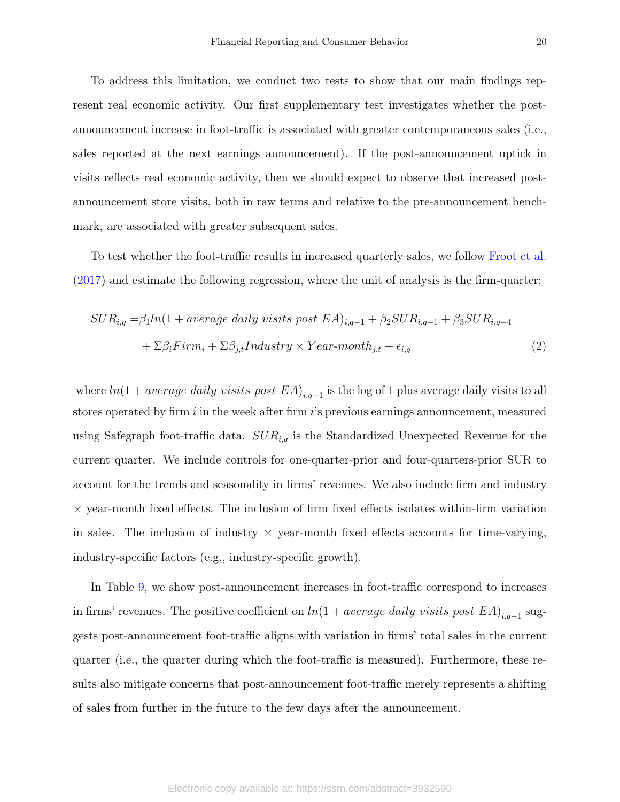To address this limitation, we conduct two tests to show that our main findings represent real economic activity. Our first supplementary test investigates whether the postannouncement increase in foot-traffic is associated with greater contemporaneous sales (i.e., sales reported at the next earnings announcement). If the post-announcement uptick in visits reflects real economic activity, then we should expect to observe that increased postannouncement store visits, both in raw terms and relative to the pre-announcement benchmark, are associated with greater subsequent sales.

To test whether the foot-traffic results in increased quarterly sales, we follow [Froot et al.](#page-30-7) [\(2017\)](#page-30-7) and estimate the following regression, where the unit of analysis is the firm-quarter:

<span id="page-20-0"></span>
$$
SUR_{i,q} = \beta_1 ln(1 + average \n daily \n visits \n post \n EA)_{i,q-1} + \beta_2 SUR_{i,q-1} + \beta_3 SUR_{i,q-4}
$$
\n
$$
+ \Sigma \beta_i Firm_i + \Sigma \beta_{j,t} Industry \times Year-month_{j,t} + \epsilon_{i,q} \tag{2}
$$

where  $ln(1 + average \ daily \ visits \ post \ EA)_{i,q-1}$  is the log of 1 plus average daily visits to all stores operated by firm  $i$  in the week after firm  $i$ 's previous earnings announcement, measured using Safegraph foot-traffic data.  $SUR_{i,q}$  is the Standardized Unexpected Revenue for the current quarter. We include controls for one-quarter-prior and four-quarters-prior SUR to account for the trends and seasonality in firms' revenues. We also include firm and industry  $\times$  year-month fixed effects. The inclusion of firm fixed effects isolates within-firm variation in sales. The inclusion of industry  $\times$  year-month fixed effects accounts for time-varying, industry-specific factors (e.g., industry-specific growth).

In Table [9,](#page-44-0) we show post-announcement increases in foot-traffic correspond to increases in firms' revenues. The positive coefficient on  $ln(1 + average \ daily \ visits \ post \ EA)_{i,q-1}$  suggests post-announcement foot-traffic aligns with variation in firms' total sales in the current quarter (i.e., the quarter during which the foot-traffic is measured). Furthermore, these results also mitigate concerns that post-announcement foot-traffic merely represents a shifting of sales from further in the future to the few days after the announcement.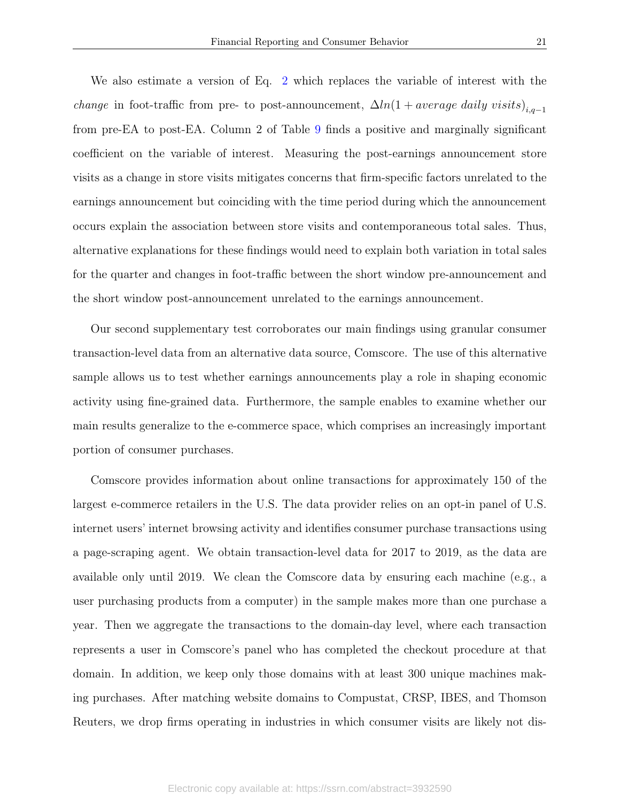We also estimate a version of Eq. [2](#page-20-0) which replaces the variable of interest with the *change* in foot-traffic from pre- to post-announcement,  $\Delta ln(1 + average \ daily \ visits)_{i,q-1}$ from pre-EA to post-EA. Column 2 of Table [9](#page-44-0) finds a positive and marginally significant coefficient on the variable of interest. Measuring the post-earnings announcement store visits as a change in store visits mitigates concerns that firm-specific factors unrelated to the earnings announcement but coinciding with the time period during which the announcement occurs explain the association between store visits and contemporaneous total sales. Thus, alternative explanations for these findings would need to explain both variation in total sales for the quarter and changes in foot-traffic between the short window pre-announcement and the short window post-announcement unrelated to the earnings announcement.

Our second supplementary test corroborates our main findings using granular consumer transaction-level data from an alternative data source, Comscore. The use of this alternative sample allows us to test whether earnings announcements play a role in shaping economic activity using fine-grained data. Furthermore, the sample enables to examine whether our main results generalize to the e-commerce space, which comprises an increasingly important portion of consumer purchases.

Comscore provides information about online transactions for approximately 150 of the largest e-commerce retailers in the U.S. The data provider relies on an opt-in panel of U.S. internet users' internet browsing activity and identifies consumer purchase transactions using a page-scraping agent. We obtain transaction-level data for 2017 to 2019, as the data are available only until 2019. We clean the Comscore data by ensuring each machine (e.g., a user purchasing products from a computer) in the sample makes more than one purchase a year. Then we aggregate the transactions to the domain-day level, where each transaction represents a user in Comscore's panel who has completed the checkout procedure at that domain. In addition, we keep only those domains with at least 300 unique machines making purchases. After matching website domains to Compustat, CRSP, IBES, and Thomson Reuters, we drop firms operating in industries in which consumer visits are likely not dis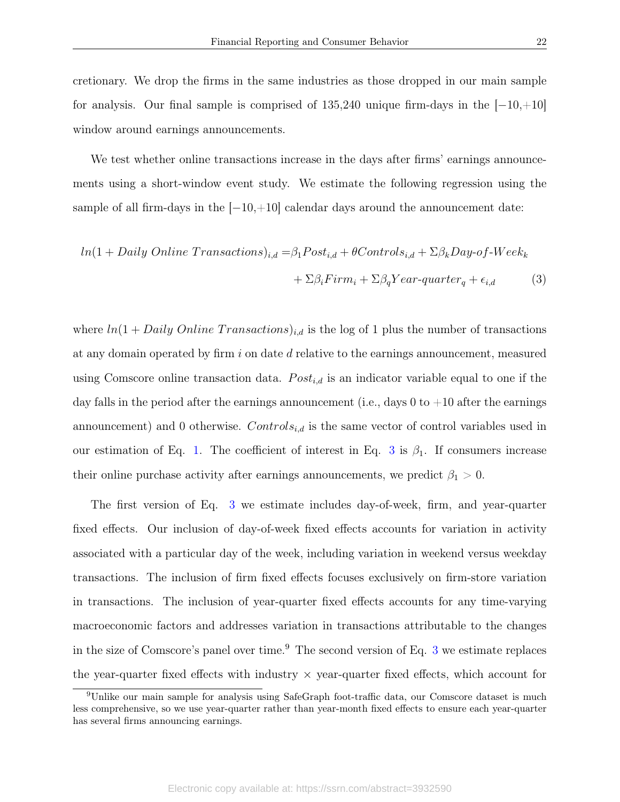cretionary. We drop the firms in the same industries as those dropped in our main sample for analysis. Our final sample is comprised of  $135,240$  unique firm-days in the  $[-10, +10]$ window around earnings announcements.

We test whether online transactions increase in the days after firms' earnings announcements using a short-window event study. We estimate the following regression using the sample of all firm-days in the  $[-10,+10]$  calendar days around the announcement date:

<span id="page-22-0"></span>
$$
ln(1 + Daily Online Transactions)_{i,d} = \beta_1 Post_{i,d} + \theta Controls_{i,d} + \Sigma \beta_k Day-of-Week_k
$$

$$
+ \Sigma \beta_i Firm_i + \Sigma \beta_q Year-quarter_q + \epsilon_{i,d}
$$
(3)

where  $ln(1 + Daily Online Transactions)_{i,d}$  is the log of 1 plus the number of transactions at any domain operated by firm i on date d relative to the earnings announcement, measured using Comscore online transaction data.  $Post_{i,d}$  is an indicator variable equal to one if the day falls in the period after the earnings announcement (i.e., days 0 to  $+10$  after the earnings announcement) and 0 otherwise.  $Control_{i,d}$  is the same vector of control variables used in our estimation of Eq. [1.](#page-11-1) The coefficient of interest in Eq. [3](#page-22-0) is  $\beta_1$ . If consumers increase their online purchase activity after earnings announcements, we predict  $\beta_1 > 0$ .

The first version of Eq. [3](#page-22-0) we estimate includes day-of-week, firm, and year-quarter fixed effects. Our inclusion of day-of-week fixed effects accounts for variation in activity associated with a particular day of the week, including variation in weekend versus weekday transactions. The inclusion of firm fixed effects focuses exclusively on firm-store variation in transactions. The inclusion of year-quarter fixed effects accounts for any time-varying macroeconomic factors and addresses variation in transactions attributable to the changes in the size of Comscore's panel over time.<sup>9</sup> The second version of Eq.  $3$  we estimate replaces the year-quarter fixed effects with industry  $\times$  year-quarter fixed effects, which account for

<sup>9</sup>Unlike our main sample for analysis using SafeGraph foot-traffic data, our Comscore dataset is much less comprehensive, so we use year-quarter rather than year-month fixed effects to ensure each year-quarter has several firms announcing earnings.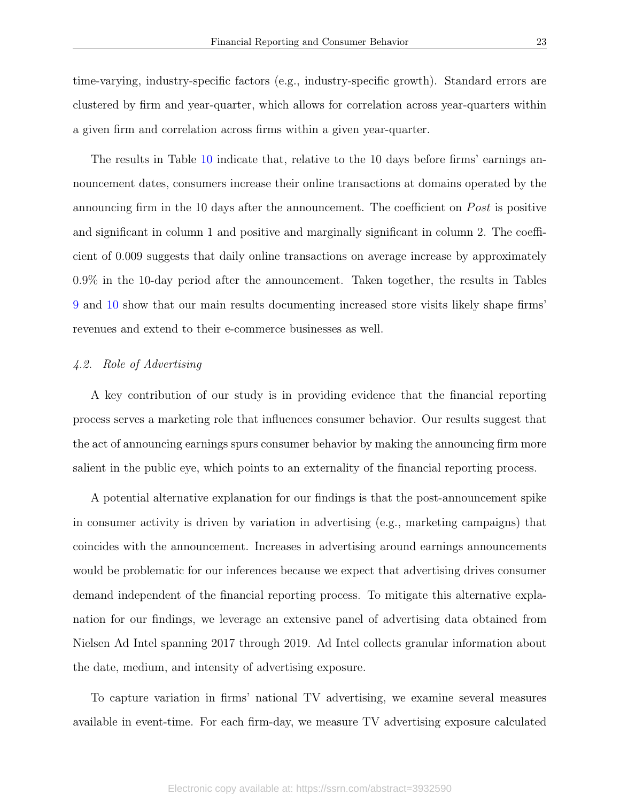time-varying, industry-specific factors (e.g., industry-specific growth). Standard errors are clustered by firm and year-quarter, which allows for correlation across year-quarters within a given firm and correlation across firms within a given year-quarter.

The results in Table [10](#page-45-0) indicate that, relative to the 10 days before firms' earnings announcement dates, consumers increase their online transactions at domains operated by the announcing firm in the 10 days after the announcement. The coefficient on *Post* is positive and significant in column 1 and positive and marginally significant in column 2. The coefficient of 0.009 suggests that daily online transactions on average increase by approximately 0.9% in the 10-day period after the announcement. Taken together, the results in Tables [9](#page-44-0) and [10](#page-45-0) show that our main results documenting increased store visits likely shape firms' revenues and extend to their e-commerce businesses as well.

# 4.2. Role of Advertising

A key contribution of our study is in providing evidence that the financial reporting process serves a marketing role that influences consumer behavior. Our results suggest that the act of announcing earnings spurs consumer behavior by making the announcing firm more salient in the public eye, which points to an externality of the financial reporting process.

A potential alternative explanation for our findings is that the post-announcement spike in consumer activity is driven by variation in advertising (e.g., marketing campaigns) that coincides with the announcement. Increases in advertising around earnings announcements would be problematic for our inferences because we expect that advertising drives consumer demand independent of the financial reporting process. To mitigate this alternative explanation for our findings, we leverage an extensive panel of advertising data obtained from Nielsen Ad Intel spanning 2017 through 2019. Ad Intel collects granular information about the date, medium, and intensity of advertising exposure.

To capture variation in firms' national TV advertising, we examine several measures available in event-time. For each firm-day, we measure TV advertising exposure calculated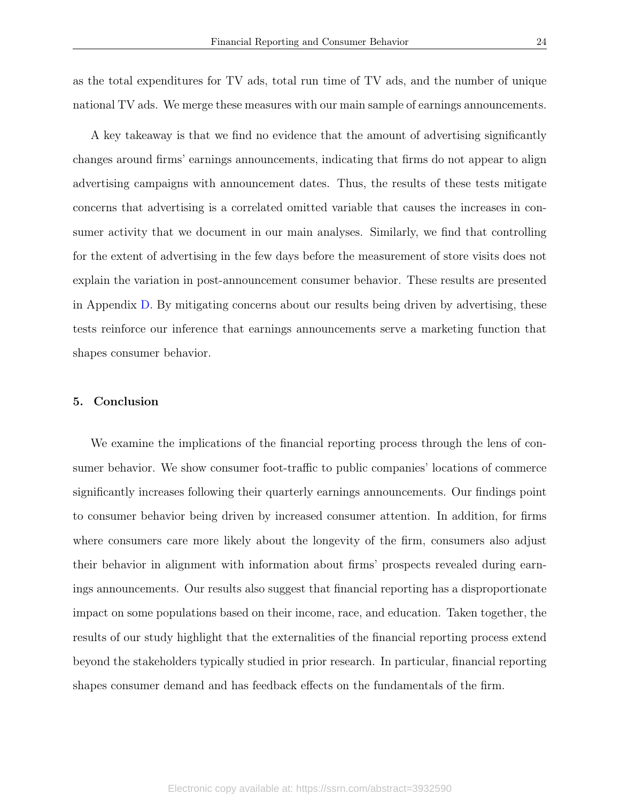as the total expenditures for TV ads, total run time of TV ads, and the number of unique national TV ads. We merge these measures with our main sample of earnings announcements.

A key takeaway is that we find no evidence that the amount of advertising significantly changes around firms' earnings announcements, indicating that firms do not appear to align advertising campaigns with announcement dates. Thus, the results of these tests mitigate concerns that advertising is a correlated omitted variable that causes the increases in consumer activity that we document in our main analyses. Similarly, we find that controlling for the extent of advertising in the few days before the measurement of store visits does not explain the variation in post-announcement consumer behavior. These results are presented in Appendix [D.](#page-29-0) By mitigating concerns about our results being driven by advertising, these tests reinforce our inference that earnings announcements serve a marketing function that shapes consumer behavior.

# <span id="page-24-0"></span>5. Conclusion

We examine the implications of the financial reporting process through the lens of consumer behavior. We show consumer foot-traffic to public companies' locations of commerce significantly increases following their quarterly earnings announcements. Our findings point to consumer behavior being driven by increased consumer attention. In addition, for firms where consumers care more likely about the longevity of the firm, consumers also adjust their behavior in alignment with information about firms' prospects revealed during earnings announcements. Our results also suggest that financial reporting has a disproportionate impact on some populations based on their income, race, and education. Taken together, the results of our study highlight that the externalities of the financial reporting process extend beyond the stakeholders typically studied in prior research. In particular, financial reporting shapes consumer demand and has feedback effects on the fundamentals of the firm.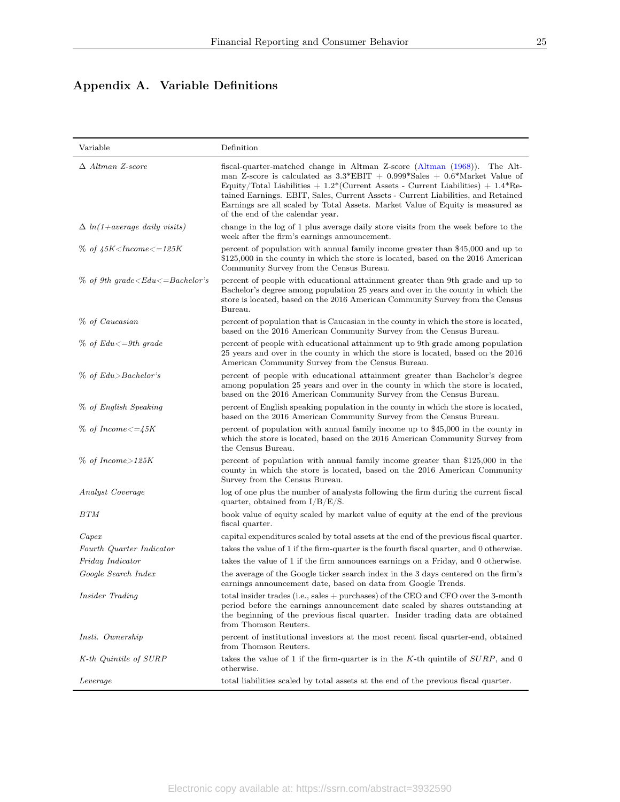# <span id="page-25-0"></span>Appendix A. Variable Definitions

| Variable                                        | Definition                                                                                                                                                                                                                                                                                                                                                                                                                                                                        |
|-------------------------------------------------|-----------------------------------------------------------------------------------------------------------------------------------------------------------------------------------------------------------------------------------------------------------------------------------------------------------------------------------------------------------------------------------------------------------------------------------------------------------------------------------|
| $\Delta$ Altman Z-score                         | fiscal-quarter-matched change in Altman Z-score (Altman (1968)). The Alt-<br>man Z-score is calculated as $3.3*EBIT + 0.999*Sales + 0.6*Market Value of$<br>Equity/Total Liabilities $+1.2$ <sup>*</sup> (Current Assets - Current Liabilities) $+1.4$ <sup>*</sup> Re-<br>tained Earnings. EBIT, Sales, Current Assets - Current Liabilities, and Retained<br>Earnings are all scaled by Total Assets. Market Value of Equity is measured as<br>of the end of the calendar year. |
| $\Delta ln(1+average \ daily \ visits)$         | change in the log of 1 plus average daily store visits from the week before to the<br>week after the firm's earnings announcement.                                                                                                                                                                                                                                                                                                                                                |
| $% of 45K$ < Income < $=125K$                   | percent of population with annual family income greater than \$45,000 and up to<br>\$125,000 in the county in which the store is located, based on the 2016 American<br>Community Survey from the Census Bureau.                                                                                                                                                                                                                                                                  |
| $\%$ of 9th grade $\leq$ Edu $\leq$ =Bachelor's | percent of people with educational attainment greater than 9th grade and up to<br>Bachelor's degree among population 25 years and over in the county in which the<br>store is located, based on the 2016 American Community Survey from the Census<br>Bureau.                                                                                                                                                                                                                     |
| % of Caucasian                                  | percent of population that is Caucasian in the county in which the store is located,<br>based on the 2016 American Community Survey from the Census Bureau.                                                                                                                                                                                                                                                                                                                       |
| $\%$ of Edu $\leq$ =9th grade                   | percent of people with educational attainment up to 9th grade among population<br>25 years and over in the county in which the store is located, based on the 2016<br>American Community Survey from the Census Bureau.                                                                                                                                                                                                                                                           |
| $\%$ of Edu>Bachelor's                          | percent of people with educational attainment greater than Bachelor's degree<br>among population 25 years and over in the county in which the store is located,<br>based on the 2016 American Community Survey from the Census Bureau.                                                                                                                                                                                                                                            |
| % of English Speaking                           | percent of English speaking population in the county in which the store is located,<br>based on the 2016 American Community Survey from the Census Bureau.                                                                                                                                                                                                                                                                                                                        |
| $\%$ of Income $\lt =\neq 5K$                   | percent of population with annual family income up to \$45,000 in the county in<br>which the store is located, based on the 2016 American Community Survey from<br>the Census Bureau.                                                                                                                                                                                                                                                                                             |
| $\%$ of Income>125K                             | percent of population with annual family income greater than \$125,000 in the<br>county in which the store is located, based on the 2016 American Community<br>Survey from the Census Bureau.                                                                                                                                                                                                                                                                                     |
| Analyst Coverage                                | log of one plus the number of analysts following the firm during the current fiscal<br>quarter, obtained from $I/B/E/S$ .                                                                                                                                                                                                                                                                                                                                                         |
| BTM                                             | book value of equity scaled by market value of equity at the end of the previous<br>fiscal quarter.                                                                                                                                                                                                                                                                                                                                                                               |
| Capex                                           | capital expenditures scaled by total assets at the end of the previous fiscal quarter.                                                                                                                                                                                                                                                                                                                                                                                            |
| Fourth Quarter Indicator                        | takes the value of 1 if the firm-quarter is the fourth fiscal quarter, and 0 otherwise.                                                                                                                                                                                                                                                                                                                                                                                           |
| Friday Indicator                                | takes the value of 1 if the firm announces earnings on a Friday, and 0 otherwise.                                                                                                                                                                                                                                                                                                                                                                                                 |
| Google Search Index                             | the average of the Google ticker search index in the 3 days centered on the firm's<br>earnings announcement date, based on data from Google Trends.                                                                                                                                                                                                                                                                                                                               |
| Insider Trading                                 | total insider trades (i.e., sales $+$ purchases) of the CEO and CFO over the 3-month<br>period before the earnings announcement date scaled by shares outstanding at<br>the beginning of the previous fiscal quarter. Insider trading data are obtained<br>from Thomson Reuters.                                                                                                                                                                                                  |
| Insti. Ownership                                | percent of institutional investors at the most recent fiscal quarter-end, obtained<br>from Thomson Reuters.                                                                                                                                                                                                                                                                                                                                                                       |
| K-th Quintile of SURP                           | takes the value of 1 if the firm-quarter is in the K-th quintile of $SURP$ , and 0<br>otherwise.                                                                                                                                                                                                                                                                                                                                                                                  |
| Leverage                                        | total liabilities scaled by total assets at the end of the previous fiscal quarter.                                                                                                                                                                                                                                                                                                                                                                                               |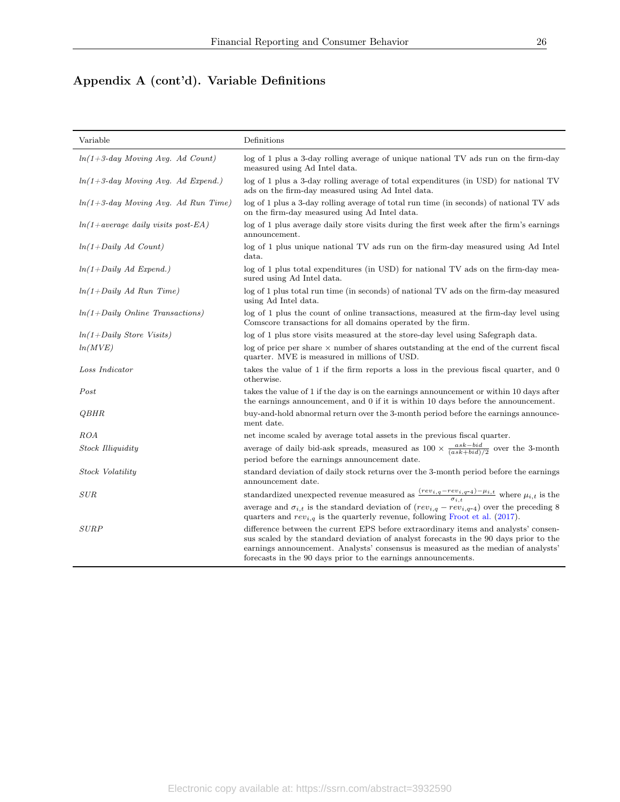# Appendix A (cont'd). Variable Definitions

| Variable                                   | Definitions                                                                                                                                                                                                                                                                                                                        |
|--------------------------------------------|------------------------------------------------------------------------------------------------------------------------------------------------------------------------------------------------------------------------------------------------------------------------------------------------------------------------------------|
| $ln(1+3$ -day Moving Avg. Ad Count)        | log of 1 plus a 3-day rolling average of unique national TV ads run on the firm-day<br>measured using Ad Intel data.                                                                                                                                                                                                               |
| $ln(1+3$ -day Moving Avg. Ad Expend.)      | log of 1 plus a 3-day rolling average of total expenditures (in USD) for national TV<br>ads on the firm-day measured using Ad Intel data.                                                                                                                                                                                          |
| $ln(1+3$ -day Moving Avg. Ad Run Time)     | log of 1 plus a 3-day rolling average of total run time (in seconds) of national TV ads<br>on the firm-day measured using Ad Intel data.                                                                                                                                                                                           |
| $ln(1+average \ daily \ visits \ post-EA)$ | log of 1 plus average daily store visits during the first week after the firm's earnings<br>announcement.                                                                                                                                                                                                                          |
| $ln(1+Daily Ad$ Count)                     | log of 1 plus unique national TV ads run on the firm-day measured using Ad Intel<br>data.                                                                                                                                                                                                                                          |
| $ln(1+Daily \text{ }Ad\; Expend.)$         | log of 1 plus total expenditures (in USD) for national TV ads on the firm-day mea-<br>sured using Ad Intel data.                                                                                                                                                                                                                   |
| $ln(1+Daily Ad Run Time)$                  | log of 1 plus total run time (in seconds) of national TV ads on the firm-day measured<br>using Ad Intel data.                                                                                                                                                                                                                      |
| $ln(1+Daily\ Online\ Transactions)$        | log of 1 plus the count of online transactions, measured at the firm-day level using<br>Comscore transactions for all domains operated by the firm.                                                                                                                                                                                |
| $ln(1+Daily)$ Store Visits)                | log of 1 plus store visits measured at the store-day level using Safegraph data.                                                                                                                                                                                                                                                   |
| ln(MVE)                                    | $log$ of price per share $\times$ number of shares outstanding at the end of the current fiscal<br>quarter. MVE is measured in millions of USD.                                                                                                                                                                                    |
| Loss Indicator                             | takes the value of 1 if the firm reports a loss in the previous fiscal quarter, and 0<br>otherwise.                                                                                                                                                                                                                                |
| Post                                       | takes the value of 1 if the day is on the earnings announcement or within 10 days after<br>the earnings announcement, and 0 if it is within 10 days before the announcement.                                                                                                                                                       |
| <i><b>QBHR</b></i>                         | buy-and-hold abnormal return over the 3-month period before the earnings announce-<br>ment date.                                                                                                                                                                                                                                   |
| ROA                                        | net income scaled by average total assets in the previous fiscal quarter.                                                                                                                                                                                                                                                          |
| <b>Stock Illiquidity</b>                   | average of daily bid-ask spreads, measured as $100 \times \frac{ask-bid}{(ask+bid)/2}$ over the 3-month                                                                                                                                                                                                                            |
|                                            | period before the earnings announcement date.                                                                                                                                                                                                                                                                                      |
| Stock Volatility                           | standard deviation of daily stock returns over the 3-month period before the earnings<br>announcement date.                                                                                                                                                                                                                        |
| SUB                                        | standardized unexpected revenue measured as $\frac{(rev_{i,q}-rev_{i,q-4})-\mu_{i,t}}{\sigma_{i,t}}$ where $\mu_{i,t}$ is the                                                                                                                                                                                                      |
|                                            | average and $\sigma_{i,t}$ is the standard deviation of $(rev_{i,q}-rev_{i,q-4})$ over the preceding 8<br>quarters and $rev_{i,q}$ is the quarterly revenue, following Froot et al. (2017).                                                                                                                                        |
| <b>SURP</b>                                | difference between the current EPS before extraordinary items and analysts' consen-<br>sus scaled by the standard deviation of analyst forecasts in the 90 days prior to the<br>earnings announcement. Analysts' consensus is measured as the median of analysts'<br>forecasts in the 90 days prior to the earnings announcements. |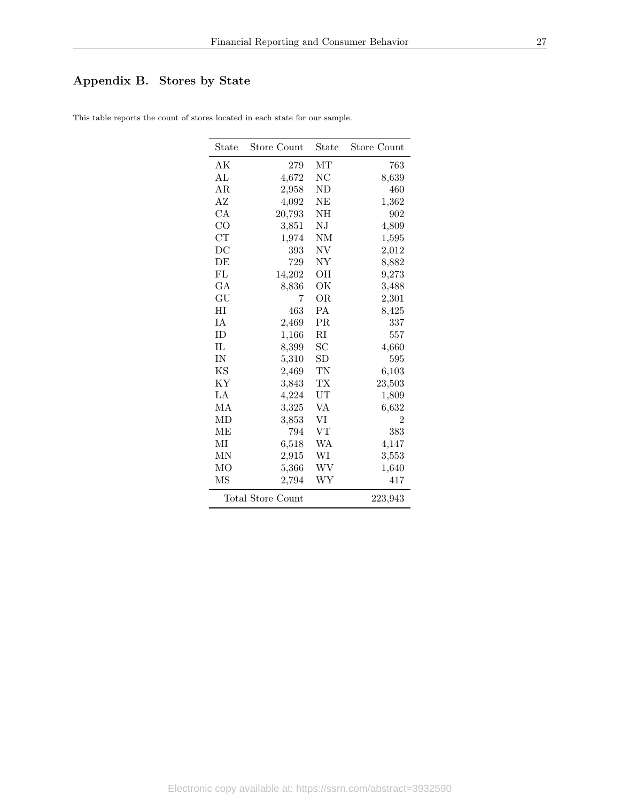# <span id="page-27-0"></span>Appendix B. Stores by State

| State               | Store Count              | State            | Store Count    |
|---------------------|--------------------------|------------------|----------------|
| AK                  | 279                      | MТ               | 763            |
| AI <sub>2</sub>     | 4,672                    | $_{\mathrm{NC}}$ | 8,639          |
| AR.                 | 2,958                    | ΝD               | 460            |
| AZ                  | 4,092                    | ΝE               | 1,362          |
| CA                  | 20,793                   | NΗ               | 902            |
| $_{\rm CO}$         | 3,851                    | NJ               | 4,809          |
| <b>CT</b>           | 1,974                    | <b>NM</b>        | 1,595          |
| DC                  | 393                      | ΝV               | 2,012          |
| DE                  | 729                      | NY               | 8,882          |
| FI                  | 14,202                   | OН               | 9,273          |
| GА                  | 8,836                    | ОK               | 3,488          |
| $\mathrm{GU}% _{k}$ | 7                        | <b>OR</b>        | 2,301          |
| HІ                  | 463                      | <b>PA</b>        | 8,425          |
| IΑ                  | 2,469                    | <b>PR</b>        | 337            |
| ID                  | 1,166                    | $\rm RI$         | 557            |
| $\Pi$               | 8,399                    | SС               | 4,660          |
| <b>IN</b>           | 5,310                    | SD               | 595            |
| KS                  | 2,469                    | TN               | 6,103          |
| KY                  | 3,843                    | TX               | 23,503         |
| LA                  | 4,224                    | UT               | 1,809          |
| МA                  | 3,325                    | VA               | 6,632          |
| MD                  | 3,853                    | VI               | $\overline{2}$ |
| MЕ                  | 794                      | VT               | 383            |
| МI                  | 6,518                    | WA               | 4,147          |
| MN                  | 2,915                    | WI               | 3,553          |
| MO                  | 5,366                    | WV               | 1,640          |
| MS                  | 2,794                    | WΥ               | 417            |
|                     | <b>Total Store Count</b> |                  | 223,943        |

This table reports the count of stores located in each state for our sample.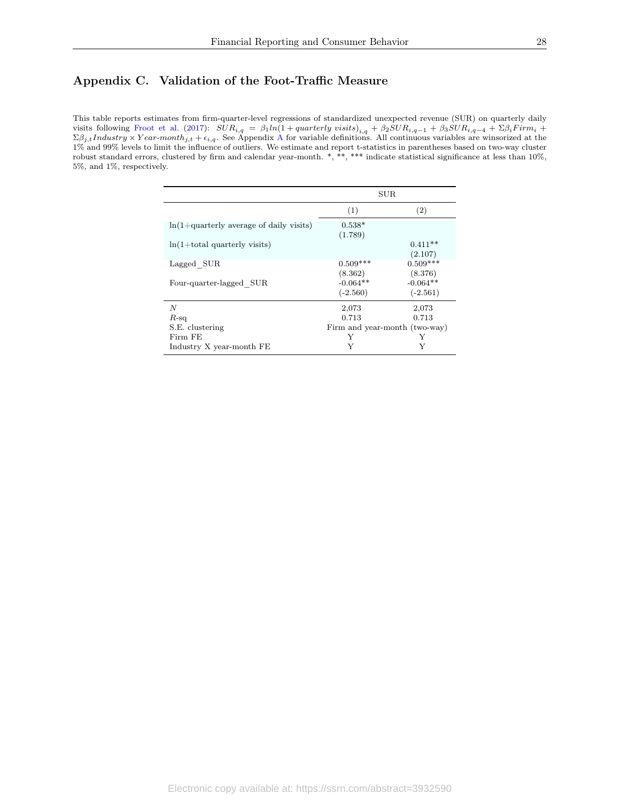# <span id="page-28-0"></span>Appendix C. Validation of the Foot-Traffic Measure

This table reports estimates from firm-quarter-level regressions of standardized unexpected revenue (SUR) on quarterly daily visits following [Froot et al.](#page-30-7) [\(2017\)](#page-30-7):  $SUR_{i,q} = \beta_1 ln(1 + quarterly \text{ visits})_{i,q} + \beta_2 SUR_{i,q-1} + \beta_3 SUR_{i,q-4} + \Sigma \beta_i Firm_i +$  $\Sigma \beta_{j,t}$ *Industry* × *Y ear-month<sub>j,t</sub>* +  $\epsilon_{i,q}$ . See [A](#page-25-0)ppendix A for variable definitions. All continuous variables are winsorized at the 1% and 99% levels to limit the influence of outliers. We estimate and report t-statistics in parentheses based on two-way cluster robust standard errors, clustered by firm and calendar year-month. \*, \*\*, \*\*\* indicate statistical significance at less than 10%, 5%, and 1%, respectively.

|                                           | <b>SUR</b>                          |                                     |
|-------------------------------------------|-------------------------------------|-------------------------------------|
|                                           | (1)                                 | (2)                                 |
| $ln(1+quarterly average of daily visits)$ | $0.538*$<br>(1.789)                 |                                     |
| $ln(1+total$ quarterly visits)            |                                     | $0.411**$<br>(2.107)                |
| Lagged SUR                                | $0.509***$                          | $0.509***$                          |
| Four-quarter-lagged SUR                   | (8.362)<br>$-0.064**$<br>$(-2.560)$ | (8.376)<br>$-0.064**$<br>$(-2.561)$ |
| $\overline{N}$                            | 2,073                               | 2,073                               |
| $R$ -sq                                   | 0.713                               | 0.713                               |
| S.E. clustering                           | Firm and year-month (two-way)       |                                     |
| Firm FE                                   | Y                                   | Y                                   |
| Industry X year-month FE                  | Y                                   | Y                                   |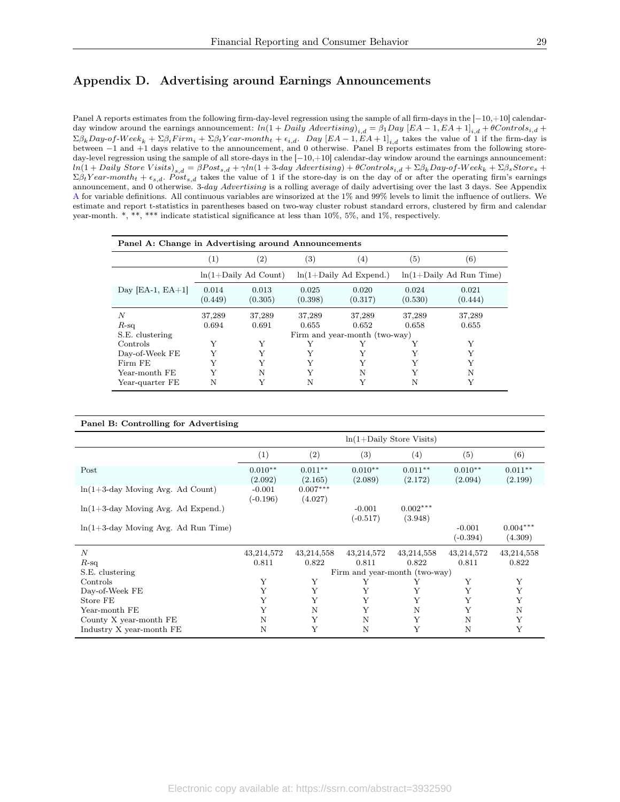# <span id="page-29-0"></span>Appendix D. Advertising around Earnings Announcements

Panel A reports estimates from the following firm-day-level regression using the sample of all firm-days in the [−10,+10] calendarday window around the earnings announcement:  $ln(1+Daily\;Advertising)_{i,d} = \beta_1 Day\;[EA-1,EA+1]_{i,d} + \theta Control_{i,d} + \theta(1+Data\;Id)_{i,d}$  $\Sigma \beta_k Day\text{-}of\text{-}Week_k + \Sigma \beta_i Firm_i + \Sigma \beta_t Year\text{-}month_t + \epsilon_{i,d}$ . Day  $[EA-1, EA+1]_{i,d}$  takes the value of 1 if the firm-day is between  $-1$  and  $+1$  days relative to the announcement, and 0 otherwise. Panel B reports estimates from the fo day-level regression using the sample of all store-days in the [−10,+10] calendar-day window around the earnings announcement: ln(1 + Daily Store V isits)s,d = βP osts,d + γln(1 + 3-day Advertising) + θControlsi,d + ΣβkDay-of-W eek<sup>k</sup> + ΣβsStore<sup>s</sup> +  $\Sigma \beta_t Year-month_t + \epsilon_{s,d}$ . Post<sub>s,d</sub> takes the value of 1 if the store-day is on the day of or after the operating firm's earnings announcement, and 0 otherwise. 3-day Advertising is a rolling average of daily advertising over the last 3 days. See Appendix [A](#page-25-0) for variable definitions. All continuous variables are winsorized at the 1% and 99% levels to limit the influence of outliers. We estimate and report t-statistics in parentheses based on two-way cluster robust standard errors, clustered by firm and calendar year-month. \*, \*\*, \*\*\* indicate statistical significance at less than 10%, 5%, and 1%, respectively.

| Panel A: Change in Advertising around Announcements |                  |                         |                  |                               |                  |                            |
|-----------------------------------------------------|------------------|-------------------------|------------------|-------------------------------|------------------|----------------------------|
|                                                     | (1)              | $\left( 2\right)$       | (3)              | (4)                           | (5)              | (6)                        |
|                                                     |                  | $ln(1+Daily)$ Ad Count) |                  | $ln(1+Daily)$ Ad Expend.)     |                  | $ln(1+Daily)$ Ad Run Time) |
| Day [EA-1, $EA+1$ ]                                 | 0.014<br>(0.449) | 0.013<br>(0.305)        | 0.025<br>(0.398) | 0.020<br>(0.317)              | 0.024<br>(0.530) | 0.021<br>(0.444)           |
| N<br>$R$ -sq                                        | 37,289<br>0.694  | 37,289<br>0.691         | 37,289<br>0.655  | 37,289<br>0.652               | 37,289<br>0.658  | 37,289<br>0.655            |
| S.E. clustering                                     |                  |                         |                  | Firm and year-month (two-way) |                  |                            |
| Controls                                            | Y                | Y                       | Y                | Y                             |                  | Y                          |
| Day-of-Week FE                                      |                  | Y                       | Y                |                               |                  | Y                          |
| Firm FE                                             |                  | Y                       |                  | Y                             |                  | Y                          |
| Year-month FE                                       |                  | N                       |                  | N                             |                  | N                          |
| Year-quarter FE                                     | N                | Y                       | N                |                               | N                | Y                          |

#### Panel B: Controlling for Advertising

|                                        | $ln(1+Daily)$ Store Visits) |                       |                               |                       |                        |                       |
|----------------------------------------|-----------------------------|-----------------------|-------------------------------|-----------------------|------------------------|-----------------------|
|                                        | (1)                         | (2)                   | (3)                           | (4)                   | (5)                    | (6)                   |
| Post                                   | $0.010**$<br>(2.092)        | $0.011**$<br>(2.165)  | $0.010**$<br>(2.089)          | $0.011**$<br>(2.172)  | $0.010**$<br>(2.094)   | $0.011**$<br>(2.199)  |
| $ln(1+3$ -day Moving Avg. Ad Count)    | $-0.001$<br>$(-0.196)$      | $0.007***$<br>(4.027) |                               |                       |                        |                       |
| $ln(1+3$ -day Moving Avg. Ad Expend.)  |                             |                       | $-0.001$<br>$(-0.517)$        | $0.002***$<br>(3.948) |                        |                       |
| $ln(1+3$ -day Moving Avg. Ad Run Time) |                             |                       |                               |                       | $-0.001$<br>$(-0.394)$ | $0.004***$<br>(4.309) |
| $\boldsymbol{N}$                       | 43,214,572                  | 43,214,558            | 43,214,572                    | 43,214,558            | 43,214,572             | 43,214,558            |
| $R$ -sq                                | 0.811                       | 0.822                 | 0.811                         | 0.822                 | 0.811                  | 0.822                 |
| S.E. clustering                        |                             |                       | Firm and year-month (two-way) |                       |                        |                       |
| Controls                               | Y                           | Y                     | Y                             | Y                     | Υ                      | Υ                     |
| Day-of-Week FE                         | Y                           | Y                     | Y                             | Υ                     | Y                      | Y                     |
| Store FE                               | Y                           | Y                     | Y                             | Y                     | Y                      | Y                     |
| Year-month FE                          | Y                           | N                     | Y                             | N                     | Y                      | N                     |
| County X year-month FE                 | N                           | Y                     | N                             | Y                     | N                      | Y                     |
| Industry X year-month FE               | N                           | Υ                     | N                             | Y                     | N                      | Y                     |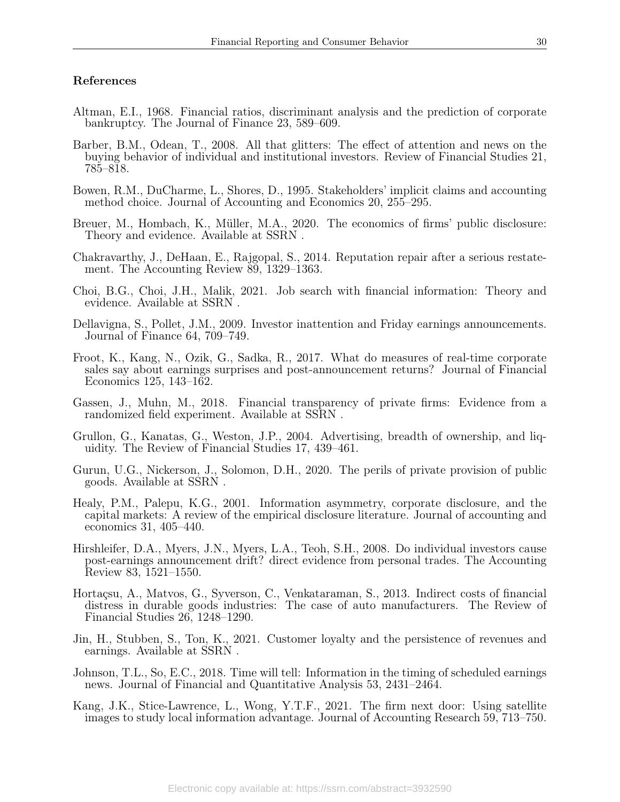### References

- <span id="page-30-16"></span>Altman, E.I., 1968. Financial ratios, discriminant analysis and the prediction of corporate bankruptcy. The Journal of Finance 23, 589–609.
- <span id="page-30-1"></span>Barber, B.M., Odean, T., 2008. All that glitters: The effect of attention and news on the buying behavior of individual and institutional investors. Review of Financial Studies 21, 785–818.
- <span id="page-30-3"></span>Bowen, R.M., DuCharme, L., Shores, D., 1995. Stakeholders' implicit claims and accounting method choice. Journal of Accounting and Economics 20, 255–295.
- <span id="page-30-10"></span>Breuer, M., Hombach, K., Müller, M.A., 2020. The economics of firms' public disclosure: Theory and evidence. Available at SSRN .
- <span id="page-30-8"></span>Chakravarthy, J., DeHaan, E., Rajgopal, S., 2014. Reputation repair after a serious restatement. The Accounting Review 89, 1329–1363.
- <span id="page-30-5"></span>Choi, B.G., Choi, J.H., Malik, 2021. Job search with financial information: Theory and evidence. Available at SSRN .
- <span id="page-30-14"></span>Dellavigna, S., Pollet, J.M., 2009. Investor inattention and Friday earnings announcements. Journal of Finance 64, 709–749.
- <span id="page-30-7"></span>Froot, K., Kang, N., Ozik, G., Sadka, R., 2017. What do measures of real-time corporate sales say about earnings surprises and post-announcement returns? Journal of Financial Economics 125, 143–162.
- <span id="page-30-9"></span>Gassen, J., Muhn, M., 2018. Financial transparency of private firms: Evidence from a randomized field experiment. Available at SSRN .
- <span id="page-30-4"></span>Grullon, G., Kanatas, G., Weston, J.P., 2004. Advertising, breadth of ownership, and liquidity. The Review of Financial Studies 17, 439–461.
- <span id="page-30-12"></span>Gurun, U.G., Nickerson, J., Solomon, D.H., 2020. The perils of private provision of public goods. Available at SSRN .
- <span id="page-30-2"></span>Healy, P.M., Palepu, K.G., 2001. Information asymmetry, corporate disclosure, and the capital markets: A review of the empirical disclosure literature. Journal of accounting and economics 31, 405–440.
- <span id="page-30-15"></span>Hirshleifer, D.A., Myers, J.N., Myers, L.A., Teoh, S.H., 2008. Do individual investors cause post-earnings announcement drift? direct evidence from personal trades. The Accounting Review 83, 1521–1550.
- <span id="page-30-0"></span>Hortaçsu, A., Matvos, G., Syverson, C., Venkataraman, S., 2013. Indirect costs of financial distress in durable goods industries: The case of auto manufacturers. The Review of Financial Studies 26, 1248–1290.
- <span id="page-30-13"></span>Jin, H., Stubben, S., Ton, K., 2021. Customer loyalty and the persistence of revenues and earnings. Available at SSRN .
- <span id="page-30-6"></span>Johnson, T.L., So, E.C., 2018. Time will tell: Information in the timing of scheduled earnings news. Journal of Financial and Quantitative Analysis 53, 2431–2464.
- <span id="page-30-11"></span>Kang, J.K., Stice-Lawrence, L., Wong, Y.T.F., 2021. The firm next door: Using satellite images to study local information advantage. Journal of Accounting Research 59, 713–750.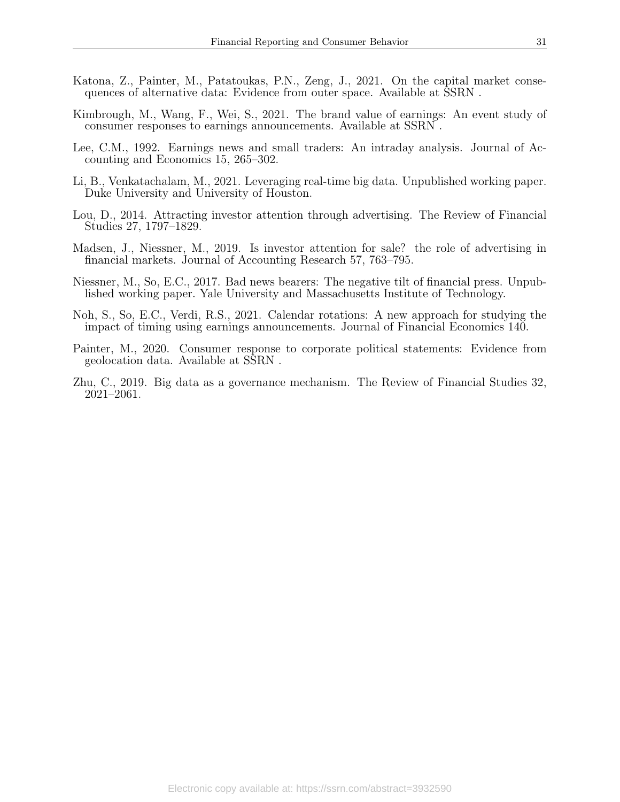- <span id="page-31-4"></span>Katona, Z., Painter, M., Patatoukas, P.N., Zeng, J., 2021. On the capital market consequences of alternative data: Evidence from outer space. Available at SSRN .
- <span id="page-31-7"></span>Kimbrough, M., Wang, F., Wei, S., 2021. The brand value of earnings: An event study of consumer responses to earnings announcements. Available at SSRN .
- <span id="page-31-8"></span>Lee, C.M., 1992. Earnings news and small traders: An intraday analysis. Journal of Accounting and Economics 15, 265–302.
- <span id="page-31-5"></span>Li, B., Venkatachalam, M., 2021. Leveraging real-time big data. Unpublished working paper. Duke University and University of Houston.
- <span id="page-31-1"></span>Lou, D., 2014. Attracting investor attention through advertising. The Review of Financial Studies 27, 1797–1829.
- <span id="page-31-2"></span>Madsen, J., Niessner, M., 2019. Is investor attention for sale? the role of advertising in financial markets. Journal of Accounting Research 57, 763–795.
- <span id="page-31-9"></span>Niessner, M., So, E.C., 2017. Bad news bearers: The negative tilt of financial press. Unpublished working paper. Yale University and Massachusetts Institute of Technology.
- <span id="page-31-0"></span>Noh, S., So, E.C., Verdi, R.S., 2021. Calendar rotations: A new approach for studying the impact of timing using earnings announcements. Journal of Financial Economics 140.
- <span id="page-31-6"></span>Painter, M., 2020. Consumer response to corporate political statements: Evidence from geolocation data. Available at SSRN .
- <span id="page-31-3"></span>Zhu, C., 2019. Big data as a governance mechanism. The Review of Financial Studies 32, 2021–2061.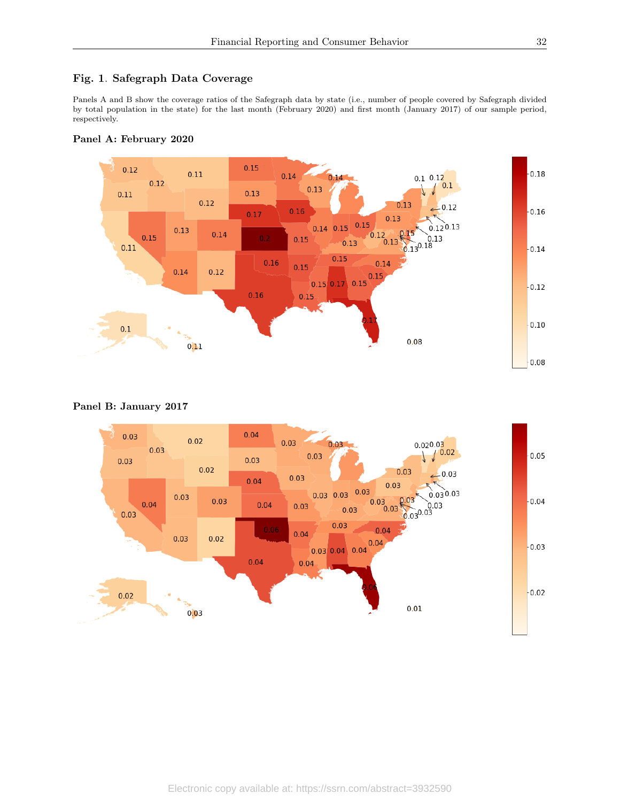# <span id="page-32-0"></span>Fig. 1. Safegraph Data Coverage

Panels A and B show the coverage ratios of the Safegraph data by state (i.e., number of people covered by Safegraph divided by total population in the state) for the last month (February 2020) and first month (January 2017) of our sample period, respectively.





# Panel B: January 2017

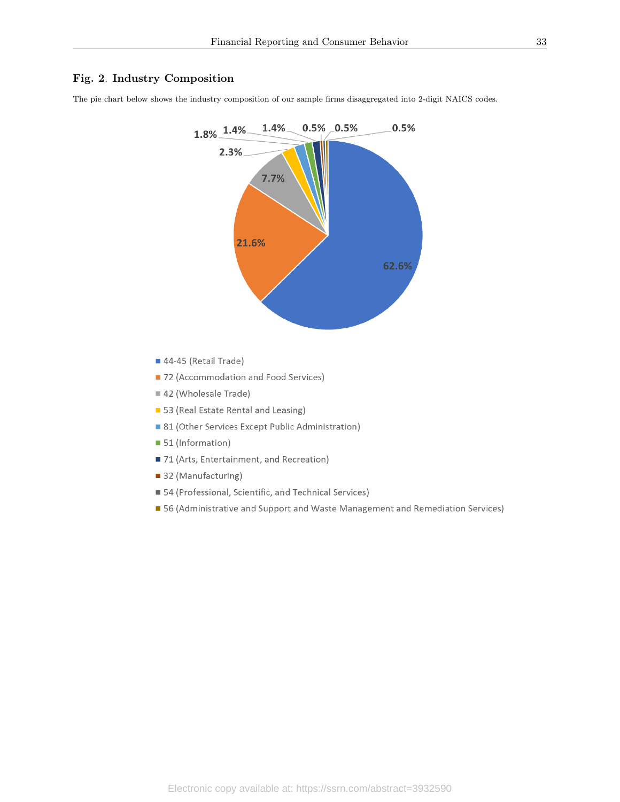## <span id="page-33-0"></span>Fig. 2. Industry Composition

The pie chart below shows the industry composition of our sample firms disaggregated into 2-digit NAICS codes.



- 44-45 (Retail Trade)
- 72 (Accommodation and Food Services)
- 42 (Wholesale Trade)
- 53 (Real Estate Rental and Leasing)
- 81 (Other Services Except Public Administration)
- 51 (Information)
- 71 (Arts, Entertainment, and Recreation)
- 32 (Manufacturing)
- 54 (Professional, Scientific, and Technical Services)
- 56 (Administrative and Support and Waste Management and Remediation Services)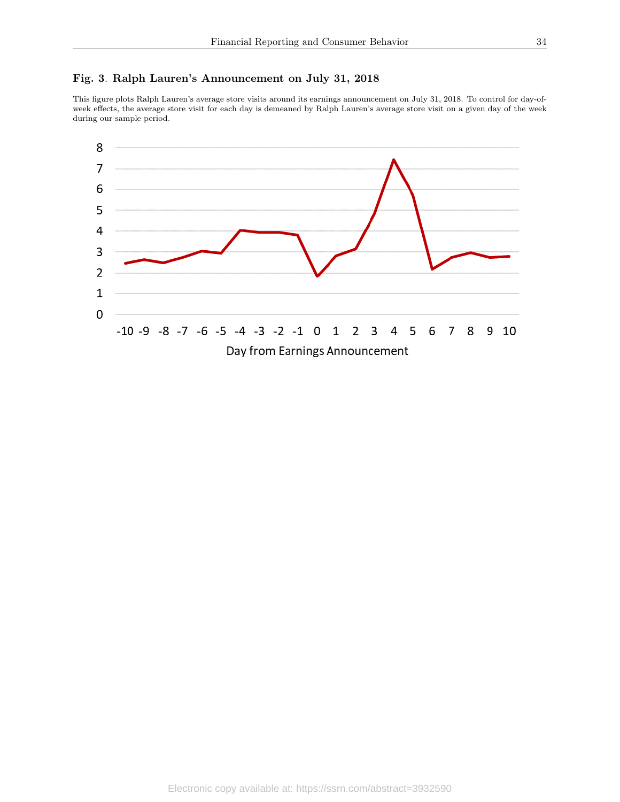# <span id="page-34-0"></span>Fig. 3. Ralph Lauren's Announcement on July 31, 2018

This figure plots Ralph Lauren's average store visits around its earnings announcement on July 31, 2018. To control for day-ofweek effects, the average store visit for each day is demeaned by Ralph Lauren's average store visit on a given day of the week during our sample period.

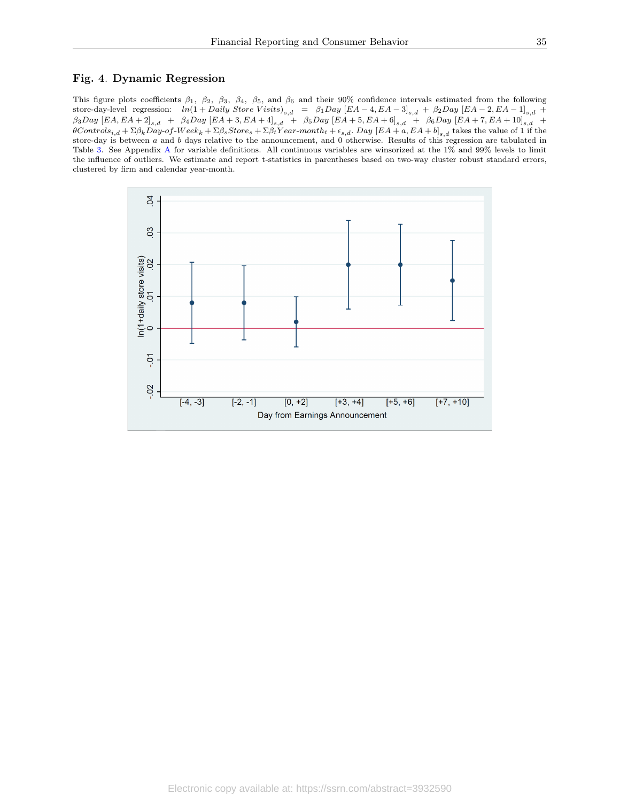#### <span id="page-35-0"></span>Fig. 4. Dynamic Regression

This figure plots coefficients  $\beta_1$ ,  $\beta_2$ ,  $\beta_3$ ,  $\beta_4$ ,  $\beta_5$ , and  $\beta_6$  and their 90% confidence intervals estimated from the following store-day-level regression:  $ln(1 + Daily Store \ Visits)_{s,d} = \beta_1 Day \ [EA-4, EA-3]_{s,d} + \beta_2 Day \ [EA-2, EA-1]_{s,d} +$  $\beta_3Day \, \left[ EA, EA + 2 \right]_{s,d} \ + \ \ \beta_4Day \, \left[ EA + 3, EA + 4 \right]_{s,d} \ + \ \ \beta_5Day \, \left[ EA + 5, EA + 6 \right]_{s,d} \ \ + \ \ \beta_6Day \, \left[ EA + 7, EA + 10 \right]_{s,d} \ \ +$  $\theta Contols_{i,d} + \Sigma \beta_k Day-of-Week_k + \Sigma \beta_s Store_s + \Sigma \beta_t Year-month_t + \epsilon_{s,d}$ . Day  $[EA + a, EA + b]_{s,d}$  takes the value of 1 if the store-day is between a and b days relative to the announcement, and 0 otherwise. Results of this regression are tabulated in Table [3.](#page-38-0) See Appendix [A](#page-25-0) for variable definitions. All continuous variables are winsorized at the 1% and 99% levels to limit the influence of outliers. We estimate and report t-statistics in parentheses based on two-way cluster robust standard errors, clustered by firm and calendar year-month.

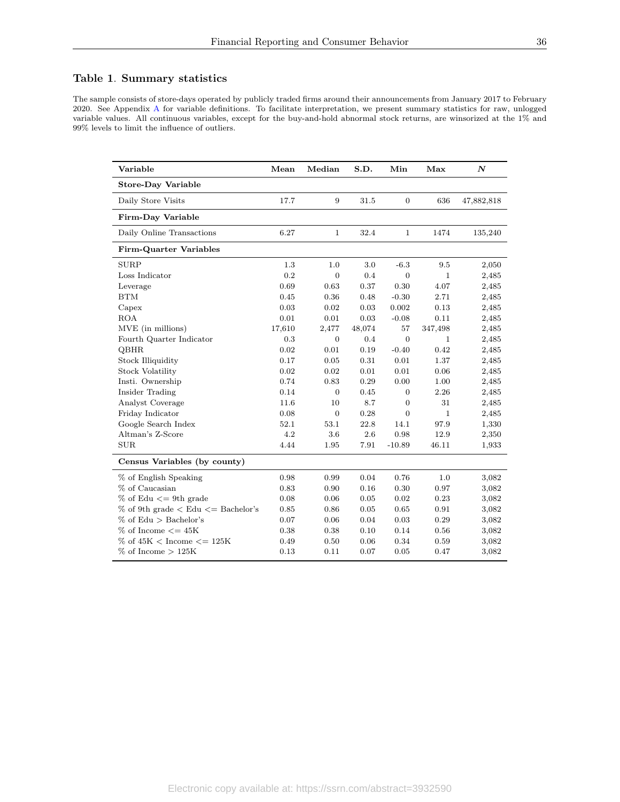# <span id="page-36-0"></span>Table 1. Summary statistics

The sample consists of store-days operated by publicly traded firms around their announcements from January 2017 to February 2020. See Appendix [A](#page-25-0) for variable definitions. To facilitate interpretation, we present summary statistics for raw, unlogged variable values. All continuous variables, except for the buy-and-hold abnormal stock returns, are winsorized at the 1% and 99% levels to limit the influence of outliers.

| Variable                                     | Mean   | Median           | S.D.   | Min            | Max          | $\boldsymbol{N}$ |
|----------------------------------------------|--------|------------------|--------|----------------|--------------|------------------|
| <b>Store-Day Variable</b>                    |        |                  |        |                |              |                  |
| Daily Store Visits                           | 17.7   | 9                | 31.5   | $\overline{0}$ | 636          | 47,882,818       |
| Firm-Day Variable                            |        |                  |        |                |              |                  |
| Daily Online Transactions                    | 6.27   | $\mathbf{1}$     | 32.4   | $\mathbf{1}$   | 1474         | 135,240          |
| Firm-Quarter Variables                       |        |                  |        |                |              |                  |
| <b>SURP</b>                                  | 1.3    | 1.0              | 3.0    | $-6.3$         | 9.5          | 2,050            |
| Loss Indicator                               | 0.2    | $\mathbf{0}$     | 0.4    | $\mathbf{0}$   | $\mathbf 1$  | 2,485            |
| Leverage                                     | 0.69   | 0.63             | 0.37   | 0.30           | 4.07         | 2,485            |
| <b>BTM</b>                                   | 0.45   | 0.36             | 0.48   | $-0.30$        | 2.71         | 2,485            |
| Capex                                        | 0.03   | 0.02             | 0.03   | 0.002          | 0.13         | 2,485            |
| <b>ROA</b>                                   | 0.01   | 0.01             | 0.03   | $-0.08$        | 0.11         | 2,485            |
| MVE (in millions)                            | 17,610 | 2,477            | 48,074 | 57             | 347,498      | 2,485            |
| Fourth Quarter Indicator                     | 0.3    | $\boldsymbol{0}$ | 0.4    | $\overline{0}$ | $\mathbf{1}$ | 2,485            |
| <b>QBHR</b>                                  | 0.02   | 0.01             | 0.19   | $-0.40$        | 0.42         | 2,485            |
| Stock Illiquidity                            | 0.17   | 0.05             | 0.31   | 0.01           | 1.37         | 2,485            |
| <b>Stock Volatility</b>                      | 0.02   | 0.02             | 0.01   | 0.01           | 0.06         | 2,485            |
| Insti. Ownership                             | 0.74   | 0.83             | 0.29   | 0.00           | 1.00         | 2,485            |
| Insider Trading                              | 0.14   | $\overline{0}$   | 0.45   | $\overline{0}$ | 2.26         | 2,485            |
| Analyst Coverage                             | 11.6   | 10               | 8.7    | $\overline{0}$ | 31           | 2,485            |
| Friday Indicator                             | 0.08   | $\overline{0}$   | 0.28   | $\overline{0}$ | $\mathbf{1}$ | 2,485            |
| Google Search Index                          | 52.1   | 53.1             | 22.8   | 14.1           | 97.9         | 1,330            |
| Altman's Z-Score                             | 4.2    | 3.6              | 2.6    | 0.98           | 12.9         | 2,350            |
| <b>SUR</b>                                   | 4.44   | 1.95             | 7.91   | $-10.89$       | 46.11        | 1,933            |
| Census Variables (by county)                 |        |                  |        |                |              |                  |
| % of English Speaking                        | 0.98   | 0.99             | 0.04   | 0.76           | 1.0          | 3,082            |
| % of Caucasian                               | 0.83   | 0.90             | 0.16   | 0.30           | 0.97         | 3,082            |
| $\%$ of Edu $\leq$ 9th grade                 | 0.08   | 0.06             | 0.05   | 0.02           | 0.23         | 3,082            |
| $\%$ of 9th grade $\lt$ Edu $\lt$ Bachelor's | 0.85   | 0.86             | 0.05   | 0.65           | 0.91         | 3,082            |
| $%$ of Edu $>$ Bachelor's                    | 0.07   | 0.06             | 0.04   | 0.03           | 0.29         | 3,082            |
| $%$ of Income $<=$ 45K                       | 0.38   | 0.38             | 0.10   | 0.14           | 0.56         | 3,082            |
| $\%$ of 45K < Income $\epsilon$ = 125K       | 0.49   | 0.50             | 0.06   | 0.34           | 0.59         | 3,082            |
| $%$ of Income $>125K$                        | 0.13   | 0.11             | 0.07   | 0.05           | 0.47         | 3,082            |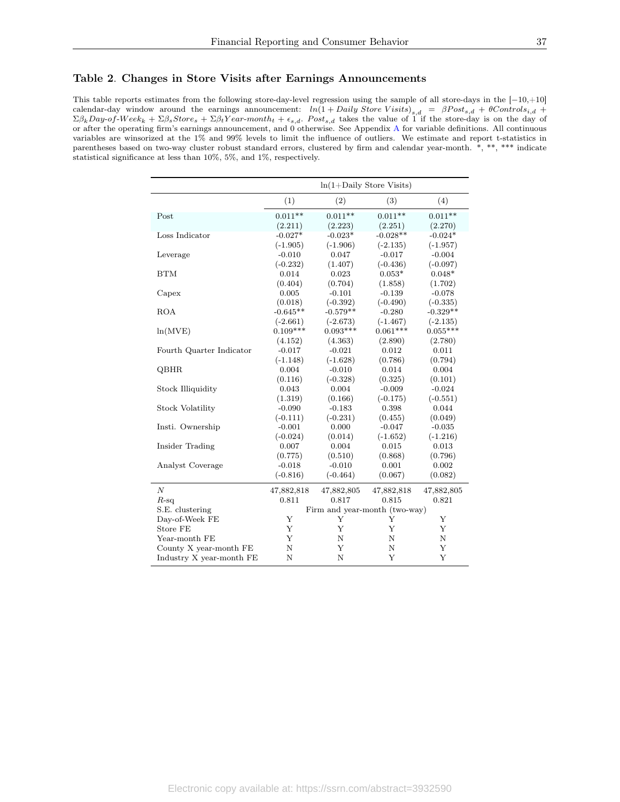#### <span id="page-37-0"></span>Table 2. Changes in Store Visits after Earnings Announcements

This table reports estimates from the following store-day-level regression using the sample of all store-days in the [−10,+10] calendar-day window around the earnings announcement:  $ln(1 + Daily \, Store \, Visits)_{s,d} = \beta Post_{s,d} + \theta Control_{s,d} +$  $\Sigma \beta_k$ Day-of-Week<sub>k</sub> +  $\Sigma \beta_s$ Store<sub>s</sub> +  $\Sigma \beta_t$ Year-month<sub>t</sub> +  $\epsilon_{s,d}$ . Post<sub>s,d</sub> takes the value of 1 if the store-day is on the day of or after the operating firm's earnings announcement, and 0 otherwise. See Appendix [A](#page-25-0) for variable definitions. All continuous variables are winsorized at the 1% and 99% levels to limit the influence of outliers. We estimate and report t-statistics in parentheses based on two-way cluster robust standard errors, clustered by firm and calendar year-month. \*, \*\*, \*\*\* indicate statistical significance at less than 10%, 5%, and 1%, respectively.

|                          | $ln(1+Daily)$ Store Visits) |                               |            |            |  |  |
|--------------------------|-----------------------------|-------------------------------|------------|------------|--|--|
|                          | (1)                         | (2)                           | (3)        | (4)        |  |  |
| Post                     | $0.011**$                   | $0.011**$                     | $0.011**$  | $0.011**$  |  |  |
|                          | (2.211)                     | (2.223)                       | (2.251)    | (2.270)    |  |  |
| Loss Indicator           | $-0.027*$                   | $-0.023*$                     | $-0.028**$ | $-0.024*$  |  |  |
|                          | $(-1.905)$                  | $(-1.906)$                    | $(-2.135)$ | $(-1.957)$ |  |  |
| Leverage                 | $-0.010$                    | 0.047                         | $-0.017$   | $-0.004$   |  |  |
|                          | $(-0.232)$                  | (1.407)                       | $(-0.436)$ | $(-0.097)$ |  |  |
| <b>BTM</b>               | 0.014                       | 0.023                         | $0.053*$   | $0.048*$   |  |  |
|                          | (0.404)                     | (0.704)                       | (1.858)    | (1.702)    |  |  |
| Capex                    | 0.005                       | $-0.101$                      | $-0.139$   | $-0.078$   |  |  |
|                          | (0.018)                     | $(-0.392)$                    | $(-0.490)$ | $(-0.335)$ |  |  |
| <b>ROA</b>               | $-0.645**$                  | $-0.579**$                    | $-0.280$   | $-0.329**$ |  |  |
|                          | $(-2.661)$                  | $(-2.673)$                    | $(-1.467)$ | $(-2.135)$ |  |  |
| ln(MVE)                  | $0.109***$                  | $0.093***$                    | $0.061***$ | $0.055***$ |  |  |
|                          | (4.152)                     | (4.363)                       | (2.890)    | (2.780)    |  |  |
| Fourth Quarter Indicator | $-0.017$                    | $-0.021$                      | 0.012      | 0.011      |  |  |
|                          | $(-1.148)$                  | $(-1.628)$                    | (0.786)    | (0.794)    |  |  |
| QBHR                     | 0.004                       | $-0.010$                      | 0.014      | 0.004      |  |  |
|                          | (0.116)                     | $(-0.328)$                    | (0.325)    | (0.101)    |  |  |
| <b>Stock Illiquidity</b> | 0.043                       | 0.004                         | $-0.009$   | $-0.024$   |  |  |
|                          | (1.319)                     | (0.166)                       | $(-0.175)$ | $(-0.551)$ |  |  |
| <b>Stock Volatility</b>  | $-0.090$                    | $-0.183$                      | 0.398      | 0.044      |  |  |
|                          | $(-0.111)$                  | $(-0.231)$                    | (0.455)    | (0.049)    |  |  |
| Insti. Ownership         | $-0.001$                    | 0.000                         | $-0.047$   | $-0.035$   |  |  |
|                          | $(-0.024)$                  | (0.014)                       | $(-1.652)$ | $(-1.216)$ |  |  |
| Insider Trading          | 0.007                       | 0.004                         | 0.015      | 0.013      |  |  |
|                          | (0.775)                     | (0.510)                       | (0.868)    | (0.796)    |  |  |
| Analyst Coverage         | $-0.018$                    | $-0.010$                      | 0.001      | 0.002      |  |  |
|                          | $(-0.816)$                  | $(-0.464)$                    | (0.067)    | (0.082)    |  |  |
| $\boldsymbol{N}$         | 47,882,818                  | 47,882,805                    | 47,882,818 | 47,882,805 |  |  |
| $R$ -sq                  | 0.811                       | 0.817                         | 0.815      | 0.821      |  |  |
| S.E. clustering          |                             | Firm and year-month (two-way) |            |            |  |  |
| Day-of-Week FE           | Y                           | Y                             | Y          | Υ          |  |  |
| Store FE                 | Y                           | Y                             | Y          | Y          |  |  |
| Year-month FE            | Y                           | N                             | N          | N          |  |  |
| County X year-month FE   | N                           | Y                             | N          | Y          |  |  |
| Industry X year-month FE | $\mathbf N$                 | $\mathbf N$                   | Y          | Y          |  |  |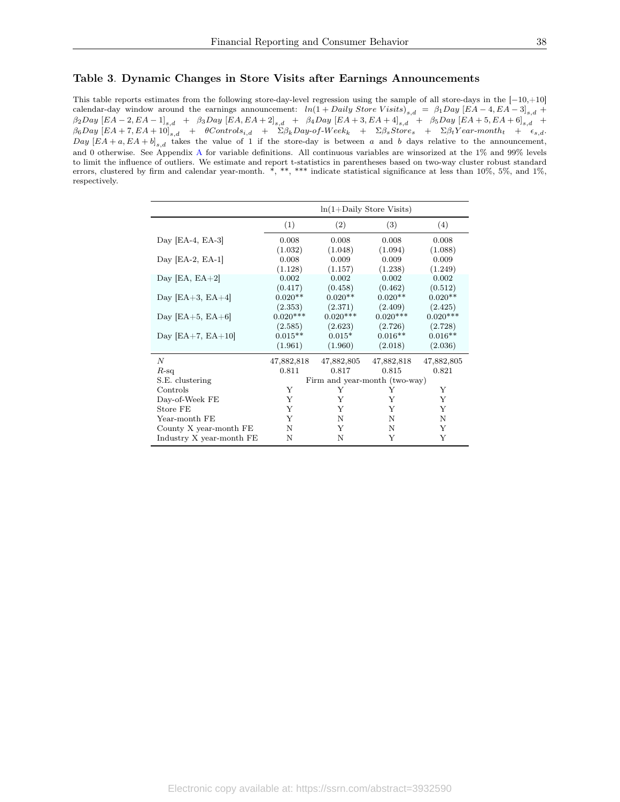### <span id="page-38-0"></span>Table 3. Dynamic Changes in Store Visits after Earnings Announcements

This table reports estimates from the following store-day-level regression using the sample of all store-days in the [−10,+10] calendar-day window around the earnings announcement:  $ln(1 + Daily Store \ Visits)_{s,d} = \beta_1 Day \ [EA-4, EA-3]_{s,d} +$  $\beta_2$ Day  $[EA-2, EA-1]_{s,d}$  +  $\beta_3$ Day  $[EA, EA+2]_{s,d}$  +  $\beta_4$ Day  $[EA+3, EA+4]_{s,d}$  +  $\beta_5$ Day  $[EA+5, EA+6]_{s,d}$  +  $\beta_6$ Day  $[EA+7, EA+10]_{s,d}$  + θControls<sub>i,d</sub> +  $\Sigma \beta_k$ Day-of-Week<sub>k</sub> +  $\Sigma \beta_s$ Store<sub>s</sub> +  $\Sigma \beta_t$ Year-month<sub>t</sub> +  $\epsilon_{s,d}$ . Day  $[EA + a, EA + b]_{s,d}$  takes the value of 1 if the store-day is between a and b days relative to the announcement, and 0 otherwise. See Appendix [A](#page-25-0) for variable definitions. All continuous variables are winsorized at the 1% and 99% levels to limit the influence of outliers. We estimate and report t-statistics in parentheses based on two-way cluster robust standard errors, clustered by firm and calendar year-month. \*, \*\*, \*\*\* indicate statistical significance at less than 10%, 5%, and 1%, respectively.

|                          | $ln(1+Daily)$ Store Visits)     |                                |                                 |                                 |  |  |
|--------------------------|---------------------------------|--------------------------------|---------------------------------|---------------------------------|--|--|
|                          | (1)                             | (2)                            | (3)                             | (4)                             |  |  |
| Day [EA-4, EA-3]         | 0.008<br>(1.032)                | 0.008<br>(1.048)               | 0.008<br>(1.094)                | 0.008<br>(1.088)                |  |  |
| Day [EA-2, EA-1]         | 0.008<br>(1.128)                | 0.009<br>(1.157)               | 0.009<br>(1.238)                | 0.009<br>(1.249)                |  |  |
| Day [EA, $EA+2$ ]        | 0.002<br>(0.417)                | 0.002<br>(0.458)               | 0.002<br>(0.462)                | 0.002<br>(0.512)                |  |  |
| Day $[EA+3, EA+4]$       | $0.020**$<br>(2.353)            | $0.020**$<br>(2.371)           | $0.020**$<br>(2.409)            | $0.020**$<br>(2.425)            |  |  |
| Day $[EA+5, EA+6]$       | $0.020***$                      | $0.020***$                     | $0.020***$                      | $0.020***$                      |  |  |
| Day $[EA+7, EA+10]$      | (2.585)<br>$0.015**$<br>(1.961) | (2.623)<br>$0.015*$<br>(1.960) | (2.726)<br>$0.016**$<br>(2.018) | (2.728)<br>$0.016**$<br>(2.036) |  |  |
| $\boldsymbol{N}$         | 47,882,818                      | 47,882,805                     | 47,882,818                      | 47,882,805                      |  |  |
| $R$ -sq                  | 0.811                           | 0.817                          | 0.815                           | 0.821                           |  |  |
| S.E. clustering          |                                 | Firm and year-month (two-way)  |                                 |                                 |  |  |
| Controls                 | Y                               | Y                              | Y                               | Y                               |  |  |
| Day-of-Week FE           | Y                               | Y                              | Y                               | Y                               |  |  |
| Store FE                 | Y                               | Y                              | Y                               | Y                               |  |  |
| Year-month FE            | Y                               | N                              | N                               | $\mathbf N$                     |  |  |
| County X year-month FE   | N                               | Y                              | Ν                               | Y                               |  |  |
| Industry X year-month FE | N                               | N                              | Y                               | Y                               |  |  |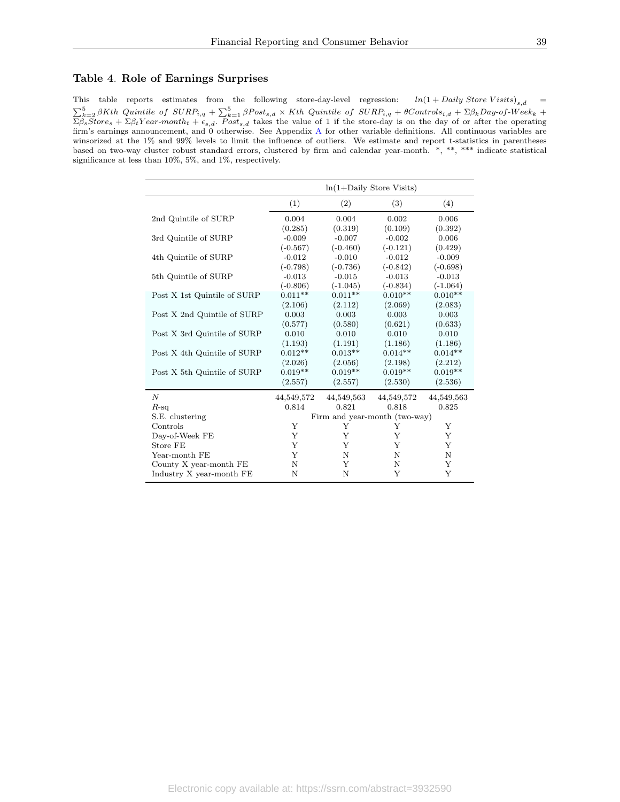#### <span id="page-39-0"></span>Table 4. Role of Earnings Surprises

This table reports estimates from the following store-day-level regression:  $ln(1 + Daily Store \ Visits)_{s,d}$  =  $\sum_{k=2}^{5} \beta Kth$  Quintile of  $\text{SURP}_{i,q} + \sum_{k=1}^{5} \beta \text{Post}_{s,d} \times Kth$  Quintile of  $\text{SURP}_{i,q} + \theta \text{Control}_{s,d} + \Sigma \beta_k \text{Day-of-Week}_{k} +$  $\Sigma\beta_sStore_s + \Sigma\beta_tYear-month_t + \epsilon_{s,d}$ . Post<sub>s,d</sub> takes the value of 1 if the store-day is on the day of or after the operating firm's earnings announcement, and 0 otherwise. See Appendix [A](#page-25-0) for other variable definitions. All continuous variables are winsorized at the 1% and 99% levels to limit the influence of outliers. We estimate and report t-statistics in parentheses based on two-way cluster robust standard errors, clustered by firm and calendar year-month. \*, \*\*, \*\*\* indicate statistical significance at less than 10%, 5%, and 1%, respectively.

|                             |            | $ln(1+Daily)$ Store Visits)   |             |            |  |  |  |
|-----------------------------|------------|-------------------------------|-------------|------------|--|--|--|
|                             | (1)        | (2)                           | (3)         | (4)        |  |  |  |
| 2nd Quintile of SURP        | 0.004      | 0.004                         | 0.002       | 0.006      |  |  |  |
|                             | (0.285)    | (0.319)                       | (0.109)     | (0.392)    |  |  |  |
| 3rd Quintile of SURP        | $-0.009$   | $-0.007$                      | $-0.002$    | 0.006      |  |  |  |
|                             | $(-0.567)$ | $(-0.460)$                    | $(-0.121)$  | (0.429)    |  |  |  |
| 4th Quintile of SURP        | $-0.012$   | $-0.010$                      | $-0.012$    | $-0.009$   |  |  |  |
|                             | $(-0.798)$ | $(-0.736)$                    | $(-0.842)$  | $(-0.698)$ |  |  |  |
| 5th Quintile of SURP        | $-0.013$   | $-0.015$                      | $-0.013$    | $-0.013$   |  |  |  |
|                             | $(-0.806)$ | $(-1.045)$                    | $(-0.834)$  | $(-1.064)$ |  |  |  |
| Post X 1st Quintile of SURP | $0.011**$  | $0.011**$                     | $0.010**$   | $0.010**$  |  |  |  |
|                             | (2.106)    | (2.112)                       | (2.069)     | (2.083)    |  |  |  |
| Post X 2nd Quintile of SURP | 0.003      | 0.003                         | 0.003       | 0.003      |  |  |  |
|                             | (0.577)    | (0.580)                       | (0.621)     | (0.633)    |  |  |  |
| Post X 3rd Quintile of SURP | 0.010      | 0.010                         | 0.010       | 0.010      |  |  |  |
|                             | (1.193)    | (1.191)                       | (1.186)     | (1.186)    |  |  |  |
| Post X 4th Quintile of SURP | $0.012**$  | $0.013**$                     | $0.014**$   | $0.014**$  |  |  |  |
|                             | (2.026)    | (2.056)                       | (2.198)     | (2.212)    |  |  |  |
| Post X 5th Quintile of SURP | $0.019**$  | $0.019**$                     | $0.019**$   | $0.019**$  |  |  |  |
|                             | (2.557)    | (2.557)                       | (2.530)     | (2.536)    |  |  |  |
| $\boldsymbol{N}$            | 44,549,572 | 44,549,563                    | 44,549,572  | 44,549,563 |  |  |  |
| $R$ -sq                     | 0.814      | 0.821                         | 0.818       | 0.825      |  |  |  |
| S.E. clustering             |            | Firm and year-month (two-way) |             |            |  |  |  |
| Controls                    | Y          | Y                             | Y           | Υ          |  |  |  |
| Day-of-Week FE              | Y          | Y                             | Y           | Y          |  |  |  |
| Store FE                    | Y          | Y                             | Y           | Y          |  |  |  |
| Year-month FE               | Y          | N                             | N           | N          |  |  |  |
| County X year-month FE      | N          | Y                             | $\mathbf N$ | Y          |  |  |  |
| Industry X year-month FE    | N          | N                             | Y           | Y          |  |  |  |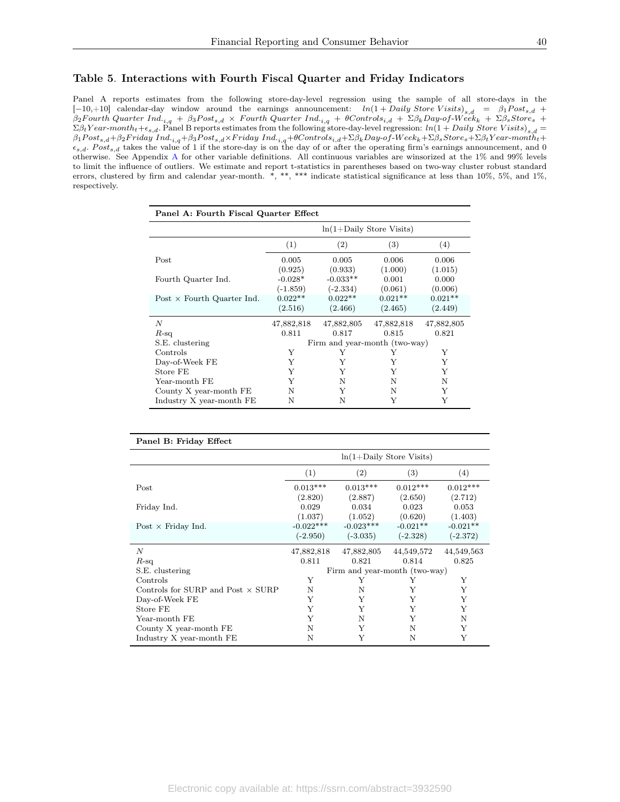# <span id="page-40-0"></span>Table 5. Interactions with Fourth Fiscal Quarter and Friday Indicators

Panel A reports estimates from the following store-day-level regression using the sample of all store-days in the  $[-10,+10]$  calendar-day window around the earnings announcement:  $ln(1+Daily\;Store\;Visits)_{s,d} = \beta_1Post_{s,d} +$  $\beta_2$ Fourth Quarter Ind.<sub>i,g</sub> + β3Post<sub>s,d</sub> × Fourth Quarter Ind.<sub>i,g</sub> + θControls<sub>i,d</sub> + Σβ<sub>k</sub>Day-of-Week<sub>k</sub> + Σβ<sub>s</sub>Stores +  $\Sigma \beta_t Year-month_t+\epsilon_{s,d}$ . Panel B reports estimates from the following store-day-level regression:  $ln(1 + Daily Store \ Visits)_{s,d}$  $\beta_1$ Post<sub>s,d</sub>+ $\beta_2$ Friday Ind.<sub>i,q</sub>+ $\beta_3$ Post<sub>s,d</sub>×Friday Ind.<sub>i,q</sub>+θControls<sub>i,d</sub>+Σ $\beta_k$ Day-of-Week<sub>k</sub>+Σ $\beta_s$ Store<sub>s</sub>+Σ $\beta_t$ Year-month<sub>t</sub>+  $\epsilon_{s,d}$ . Post<sub>s,d</sub> takes the value of 1 if the store-day is on the day of or after the operating firm's earnings announcement, and 0 otherwise. See Appendix [A](#page-25-0) for other variable definitions. All continuous variables are winsorized at the 1% and 99% levels to limit the influence of outliers. We estimate and report t-statistics in parentheses based on two-way cluster robust standard errors, clustered by firm and calendar year-month. \*, \*\*, \*\*\* indicate statistical significance at less than 10%, 5%, and 1%, respectively.

| Panel A: Fourth Fiscal Quarter Effect |                             |                               |            |            |  |  |  |
|---------------------------------------|-----------------------------|-------------------------------|------------|------------|--|--|--|
|                                       | $ln(1+Daily)$ Store Visits) |                               |            |            |  |  |  |
|                                       | (1)                         | (2)                           | (3)        | (4)        |  |  |  |
| Post                                  | 0.005                       | 0.005                         | 0.006      | 0.006      |  |  |  |
|                                       | (0.925)                     | (0.933)                       | (1.000)    | (1.015)    |  |  |  |
| Fourth Quarter Ind.                   | $-0.028*$                   | $-0.033**$                    | 0.001      | 0.000      |  |  |  |
|                                       | $(-1.859)$                  | $(-2.334)$                    | (0.061)    | (0.006)    |  |  |  |
| Post $\times$ Fourth Quarter Ind.     | $0.022**$                   | $0.022**$                     | $0.021**$  | $0.021**$  |  |  |  |
|                                       | (2.516)                     | (2.466)                       | (2.465)    | (2.449)    |  |  |  |
| N                                     | 47,882,818                  | 47,882,805                    | 47,882,818 | 47,882,805 |  |  |  |
| $R$ -sq                               | 0.811                       | 0.817                         | 0.815      | 0.821      |  |  |  |
| S.E. clustering                       |                             | Firm and year-month (two-way) |            |            |  |  |  |
| Controls                              | Y                           | Y                             | Y          | Y          |  |  |  |
| Day-of-Week FE                        | Y                           | Y                             | Y          | Y          |  |  |  |
| Store FE                              | Y                           | Y                             | Y          | Y          |  |  |  |
| Year-month FE                         | Y                           | N                             | N          | N          |  |  |  |
| County X year-month FE                | N                           | Y                             | N          | Y          |  |  |  |
| Industry X year-month FE              | N                           | N                             | Y          | Y          |  |  |  |

| Panel B: Friday Effect                   |             |                               |            |            |  |  |
|------------------------------------------|-------------|-------------------------------|------------|------------|--|--|
|                                          |             | $ln(1+Daily)$ Store Visits)   |            |            |  |  |
|                                          | (1)         | (2)                           | (3)        | (4)        |  |  |
| Post                                     | $0.013***$  | $0.013***$                    | $0.012***$ | $0.012***$ |  |  |
|                                          | (2.820)     | (2.887)                       | (2.650)    | (2.712)    |  |  |
| Friday Ind.                              | 0.029       | 0.034                         | 0.023      | 0.053      |  |  |
|                                          | (1.037)     | (1.052)                       | (0.620)    | (1.403)    |  |  |
| Post $\times$ Friday Ind.                | $-0.022***$ | $-0.023***$                   | $-0.021**$ | $-0.021**$ |  |  |
|                                          | $(-2.950)$  | $(-3.035)$                    | $(-2.328)$ | $(-2.372)$ |  |  |
| $\boldsymbol{N}$                         | 47,882,818  | 47,882,805                    | 44,549,572 | 44,549,563 |  |  |
| $R$ -sq                                  | 0.811       | 0.821                         | 0.814      | 0.825      |  |  |
| S.E. clustering                          |             | Firm and year-month (two-way) |            |            |  |  |
| Controls                                 | Y           | Y                             | Y          | Y          |  |  |
| Controls for SURP and Post $\times$ SURP | N           | N                             | Y          | Y          |  |  |
| Day-of-Week FE                           | Y           | Y                             | Y          | Y          |  |  |
| Store FE                                 | Y           | Y                             | Y          | Y          |  |  |
| Year-month FE                            | Y           | N                             | Y          | N          |  |  |
| County X year-month FE                   | N           | Y                             | N          | Y          |  |  |
| Industry X year-month FE                 | N           | Y                             | N          | Y          |  |  |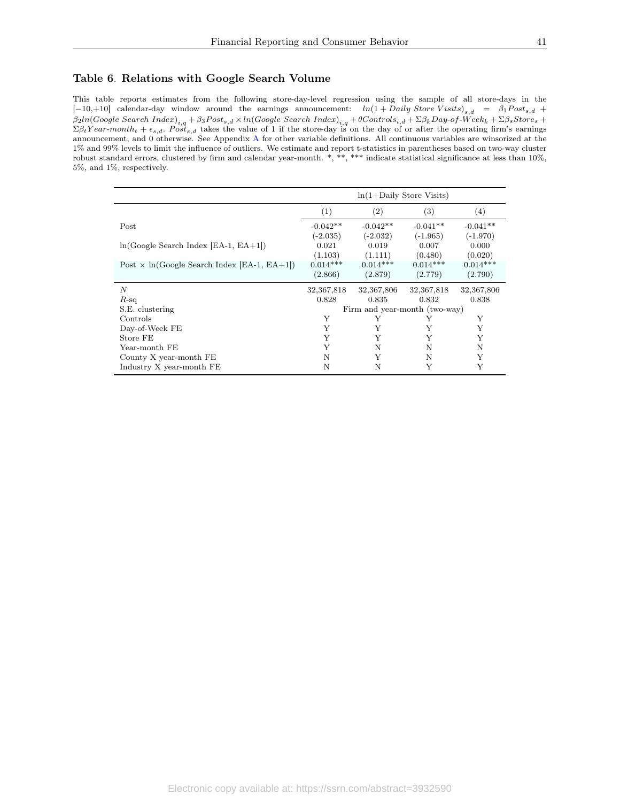### <span id="page-41-0"></span>Table 6. Relations with Google Search Volume

This table reports estimates from the following store-day-level regression using the sample of all store-days in the  $[-10,+10]$  calendar-day window around the earnings announcement:  $ln(1+Daily\;Store\;Visits)_{s,d} = \beta_1Post_{s,d} +$  $\beta_2$ ln $(Google\ Search\ Index)_{i,q} + \beta_3Post_{s,d} \times ln(Google\ Search\ Index)_{i,q} + \theta Controls_{i,d} + \Sigma\beta_kDay\text{-}of\text{-}Week_k + \Sigma\beta_sStore_s + \Sigma\beta_k$  $\Sigma \beta_t$ Y ear-month<sub>t</sub> +  $\epsilon_{s,d}$ . Post<sub>s,d</sub> takes the value of 1 if the store-day is on the day of or after the operating firm's earnings announcement, and 0 otherwise. See Appendix [A](#page-25-0) for other variable definitions. All continuous variables are winsorized at the 1% and 99% levels to limit the influence of outliers. We estimate and report t-statistics in parentheses based on two-way cluster robust standard errors, clustered by firm and calendar year-month. \*, \*\*, \*\*\* indicate statistical significance at less than 10%, 5%, and 1%, respectively.

|                                                    | $ln(1+Daily)$ Store Visits)   |                   |            |            |  |
|----------------------------------------------------|-------------------------------|-------------------|------------|------------|--|
|                                                    | (1)                           | $\left( 2\right)$ | (3)        | (4)        |  |
| Post                                               | $-0.042**$                    | $-0.042**$        | $-0.041**$ | $-0.041**$ |  |
|                                                    | $(-2.035)$                    | $(-2.032)$        | $(-1.965)$ | $(-1.970)$ |  |
| $ln(Google Search Index [EA-1, EA+1])$             | 0.021                         | 0.019             | 0.007      | 0.000      |  |
|                                                    | (1.103)                       | (1.111)           | (0.480)    | (0.020)    |  |
| Post $\times$ ln(Google Search Index [EA-1, EA+1]) | $0.014***$                    | $0.014***$        | $0.014***$ | $0.014***$ |  |
|                                                    | (2.866)                       | (2.879)           | (2.779)    | (2.790)    |  |
| N                                                  | 32,367,818                    | 32,367,806        | 32,367,818 | 32,367,806 |  |
| $R$ -sq                                            | 0.828                         | 0.835             | 0.832      | 0.838      |  |
| S.E. clustering                                    | Firm and year-month (two-way) |                   |            |            |  |
| Controls                                           | Y                             | Y                 | Y          | Y          |  |
| Day-of-Week FE                                     | Y                             | Y                 | Y          | Y          |  |
| Store FE                                           | Y                             | Y                 | Y          | Y          |  |
| Year-month FE                                      | Y                             | N                 | N          | N          |  |
| County X year-month FE                             | N                             | Y                 | N          | Υ          |  |
| Industry X year-month FE                           | N                             | N                 | Y          | Y          |  |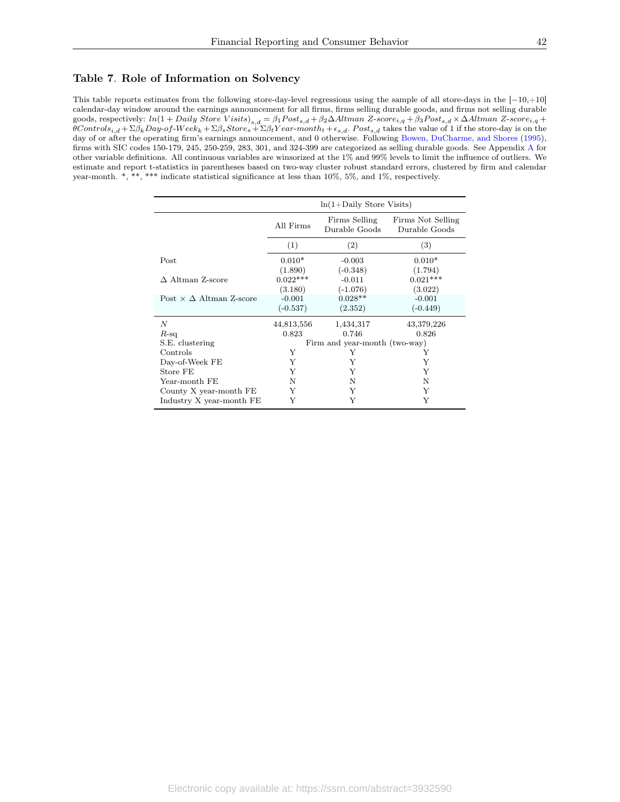#### <span id="page-42-0"></span>Table 7. Role of Information on Solvency

This table reports estimates from the following store-day-level regressions using the sample of all store-days in the [−10,+10] calendar-day window around the earnings announcement for all firms, firms selling durable goods, and firms not selling durable goods, respectively:  $ln(1 + Daily Store \ Visits)_{s,d} = \beta_1 Post_{s,d} + \beta_2 \Delta Altman \ Z-score_{i,q} + \beta_3 Post_{s,d} \times \Delta Altman \ Z-score_{i,q} + \beta_4 post\_i$  $\theta$ Controls<sub>i,d</sub> + Σβ<sub>k</sub>Day-of-Week<sub>k</sub> + Σβ<sub>s</sub>Store<sub>s</sub> + Σβ<sub>t</sub>Year-month<sub>t</sub> +  $\epsilon_{s,d}$ . Post<sub>s,d</sub> takes the value of 1 if the store-day is on the day of or after the operating firm's earnings announcement, and 0 otherwise. Following [Bowen, DuCharme, and Shores](#page-30-3) [\(1995\)](#page-30-3), firms with SIC codes 150-179, 245, 250-259, 283, 301, and 324-399 are categorized as selling durable goods. See Appendix [A](#page-25-0) for other variable definitions. All continuous variables are winsorized at the 1% and 99% levels to limit the influence of outliers. We estimate and report t-statistics in parentheses based on two-way cluster robust standard errors, clustered by firm and calendar year-month. \*, \*\*, \*\*\* indicate statistical significance at less than 10%, 5%, and 1%, respectively.

|                                     | $ln(1+Daily)$ Store Visits)   |                                |                                    |  |  |
|-------------------------------------|-------------------------------|--------------------------------|------------------------------------|--|--|
|                                     | All Firms                     | Firms Selling<br>Durable Goods | Firms Not Selling<br>Durable Goods |  |  |
|                                     | (1)                           | (2)                            | (3)                                |  |  |
| Post                                | $0.010*$                      | $-0.003$                       | $0.010*$                           |  |  |
|                                     | (1.890)                       | $(-0.348)$                     | (1.794)                            |  |  |
| $\Delta$ Altman Z-score             | $0.022***$                    | $-0.011$                       | $0.021***$                         |  |  |
|                                     | (3.180)                       | $(-1.076)$                     | (3.022)                            |  |  |
| Post $\times \Delta$ Altman Z-score | $-0.001$                      | $0.028**$                      | $-0.001$                           |  |  |
|                                     | $(-0.537)$                    | (2.352)                        | $(-0.449)$                         |  |  |
| N                                   | 44,813,556                    | 1,434,317                      | 43,379,226                         |  |  |
| $R$ -sq                             | 0.823                         | 0.746                          | 0.826                              |  |  |
| S.E. clustering                     | Firm and year-month (two-way) |                                |                                    |  |  |
| Controls                            | Y                             | Y                              | Υ                                  |  |  |
| Day-of-Week FE                      | Υ                             | Y                              | Y                                  |  |  |
| Store FE                            | Y                             | Y                              | Y                                  |  |  |
| Year-month FE                       | N                             | N                              | Ν                                  |  |  |
| County X year-month FE              | Y                             | Υ                              | Y                                  |  |  |
| Industry X year-month FE            | Y                             | Y                              | Y                                  |  |  |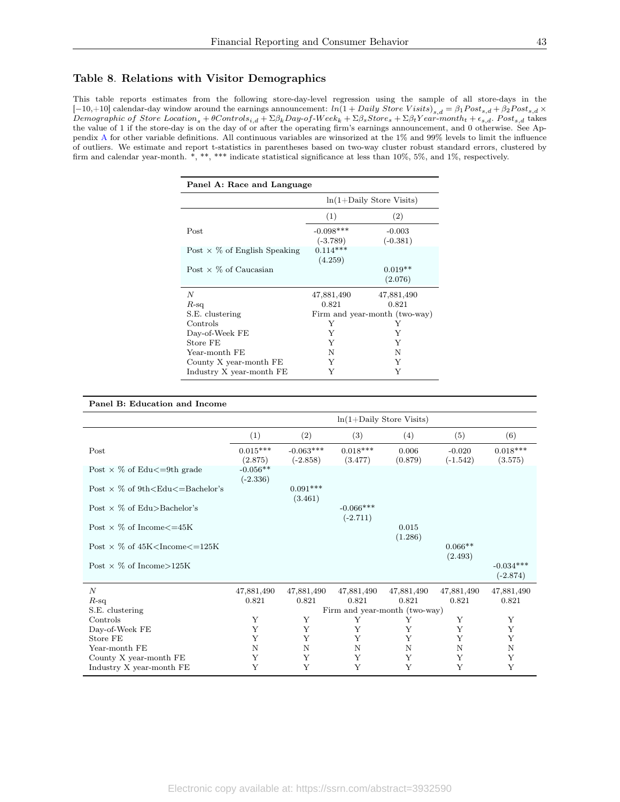#### <span id="page-43-0"></span>Table 8. Relations with Visitor Demographics

This table reports estimates from the following store-day-level regression using the sample of all store-days in the  $[-10,+10]$  calendar-day window around the earnings announcement:  $ln(1 + Daily Store \ Visits)_{s,d} = \beta_1Post_{s,d} + \beta_2Post_{s,d} \times$  $Demographic of Store Location<sub>s</sub> + \theta Controls<sub>i,d</sub> + \Sigma\beta_kDay-of-Week<sub>k</sub> + \Sigma\beta_sStore_s + \Sigma\beta_tYear-month<sub>t</sub> + \epsilon_{s,d}$ . Post<sub>s,d</sub> takes the value of 1 if the store-day is on the day of or after the operating firm's earnings announcement, and 0 otherwise. See Appendix [A](#page-25-0) for other variable definitions. All continuous variables are winsorized at the 1% and 99% levels to limit the influence of outliers. We estimate and report t-statistics in parentheses based on two-way cluster robust standard errors, clustered by firm and calendar year-month. \*, \*\*, \*\*\* indicate statistical significance at less than 10%, 5%, and 1%, respectively.

| Panel A: Race and Language          |                               |            |  |  |
|-------------------------------------|-------------------------------|------------|--|--|
|                                     | $ln(1+Daily)$ Store Visits)   |            |  |  |
|                                     | (1)                           | (2)        |  |  |
| Post                                | $-0.098***$                   | $-0.003$   |  |  |
|                                     | $(-3.789)$                    | $(-0.381)$ |  |  |
| Post $\times$ % of English Speaking | $0.114***$                    |            |  |  |
|                                     | (4.259)                       |            |  |  |
| Post $\times$ % of Caucasian        |                               | $0.019**$  |  |  |
|                                     |                               | (2.076)    |  |  |
| N                                   | 47,881,490                    | 47,881,490 |  |  |
| $R$ -sq                             | 0.821                         | 0.821      |  |  |
| S.E. clustering                     | Firm and year-month (two-way) |            |  |  |
| Controls                            | Y                             | Y          |  |  |
| Day-of-Week FE                      | Y                             | Y          |  |  |
| Store FE                            | Y                             | Y          |  |  |
| Year-month FE                       | N                             | N          |  |  |
| County X year-month FE              | Y                             | Y          |  |  |
| Industry X year-month FE            | Y                             | Y          |  |  |

#### Panel B: Education and Income

|                                                             | $ln(1+Daily)$ Store Visits)   |                       |                           |                  |                      |                           |
|-------------------------------------------------------------|-------------------------------|-----------------------|---------------------------|------------------|----------------------|---------------------------|
|                                                             | (1)                           | (2)                   | (3)                       | (4)              | (5)                  | (6)                       |
| Post                                                        | $0.015***$                    | $-0.063***$           | $0.018***$                | 0.006            | $-0.020$             | $0.018***$                |
|                                                             | (2.875)                       | $(-2.858)$            | (3.477)                   | (0.879)          | $(-1.542)$           | (3.575)                   |
| Post $\times$ % of Edu $\leq$ =9th grade                    | $-0.056**$<br>$(-2.336)$      |                       |                           |                  |                      |                           |
| Post $\times$ % of 9th <edu<math>\leq=Bachelor's</edu<math> |                               | $0.091***$<br>(3.461) |                           |                  |                      |                           |
| Post $\times$ % of Edu $>$ Bachelor's                       |                               |                       | $-0.066***$<br>$(-2.711)$ |                  |                      |                           |
| Post $\times$ % of Income $\leq$ =45K                       |                               |                       |                           | 0.015<br>(1.286) |                      |                           |
| Post $\times$ % of 45K <income<math>\leq=125K</income<math> |                               |                       |                           |                  | $0.066**$<br>(2.493) |                           |
| Post $\times$ % of Income > 125K                            |                               |                       |                           |                  |                      | $-0.034***$<br>$(-2.874)$ |
| $\boldsymbol{N}$                                            | 47,881,490                    | 47,881,490            | 47,881,490                | 47,881,490       | 47,881,490           | 47,881,490                |
| $R$ -sq                                                     | 0.821                         | 0.821                 | 0.821                     | 0.821            | 0.821                | 0.821                     |
| S.E. clustering                                             | Firm and year-month (two-way) |                       |                           |                  |                      |                           |
| Controls                                                    | Y                             | Y                     | Υ                         | Υ                | Υ                    | Y                         |
| Day-of-Week FE                                              | Y                             | Y                     | Y                         | Y                | Y                    | Y                         |
| Store FE                                                    | Y                             | Y                     | Y                         | Y                | Y                    | Y                         |
| Year-month FE                                               | N                             | N                     | N                         | N                | N                    | N                         |
| County X year-month FE                                      | Y                             | Y                     | Y                         | Y                | Y                    | Υ                         |
| Industry X year-month FE                                    | Y                             | Y                     | Y                         | Y                | Y                    | Y                         |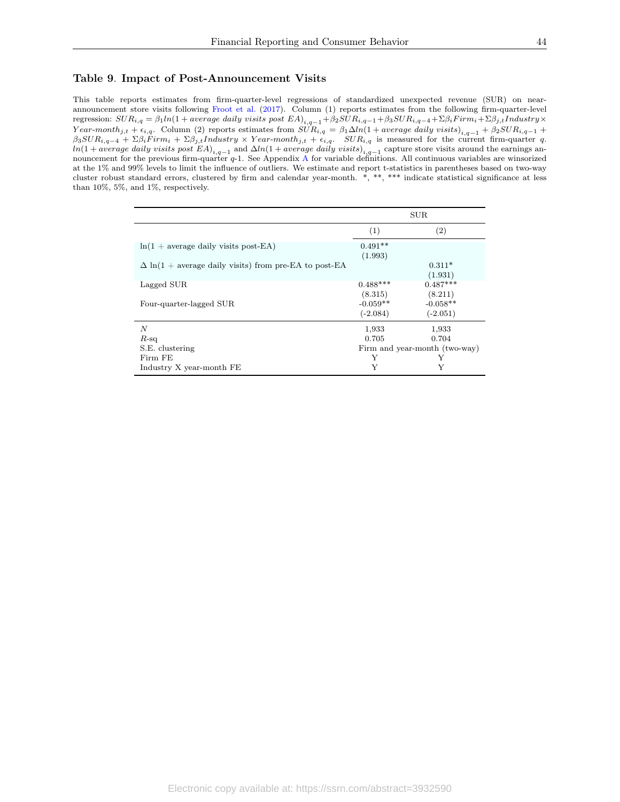#### <span id="page-44-0"></span>Table 9. Impact of Post-Announcement Visits

This table reports estimates from firm-quarter-level regressions of standardized unexpected revenue (SUR) on nearannouncement store visits following [Froot et al.](#page-30-7) [\(2017\)](#page-30-7). Column (1) reports estimates from the following firm-quarter-level  $\text{regression: } SUR_{i,q} = \beta_1 ln(1 + average \; daily \; visits \; post \; EA)_{i,q-1} + \beta_2 SUR_{i,q-1} + \beta_3 SUR_{i,q-4} + \Sigma \beta_i Firm_i + \Sigma \beta_j_i Industry \times \delta_i$ Year-month<sub>j,t</sub> +  $\epsilon_{i,q}$ . Column (2) reports estimates from  $SUR_{i,q} = \beta_1 \Delta ln(1 + average \ daily \ visits)_{i,q-1} + \beta_2 SUR_{i,q-1} + \beta_3 SUR_{i,q-1}$  $\beta_3SUR_{i,q-4} + \Sigma \beta_i Firm_i + \Sigma \beta_{j,t} Industry \times Year-month_{j,t} + \epsilon_{i,q}$ .  $SUR_{i,q}$  is measured for the current firm-quarter q.  $ln(1 + average \ daily \ visits \ post \ EA)_{i,q-1}$  and  $\Delta ln(1 + average \ daily \ visits)_{i,q-1}$  capture store visits around the earnings announcement for the previous firm-quarter q-1. See Appendix [A](#page-25-0) for variable definitions. All continuous variables are winsorized at the 1% and 99% levels to limit the influence of outliers. We estimate and report t-statistics in parentheses based on two-way cluster robust standard errors, clustered by firm and calendar year-month. \*, \*\*, \*\*\* indicate statistical significance at less than 10%, 5%, and 1%, respectively.

|                                                                      |                               | <b>SUR</b>               |  |
|----------------------------------------------------------------------|-------------------------------|--------------------------|--|
|                                                                      | (1)                           | (2)                      |  |
| $ln(1 + average daily visits post-EA)$                               | $0.491**$<br>(1.993)          |                          |  |
| $\Delta \ln(1 + \text{average daily visits})$ from pre-EA to post-EA |                               | $0.311*$<br>(1.931)      |  |
| Lagged SUR                                                           | $0.488***$<br>(8.315)         | $0.487***$<br>(8.211)    |  |
| Four-quarter-lagged SUR                                              | $-0.059**$<br>$(-2.084)$      | $-0.058**$<br>$(-2.051)$ |  |
| $\boldsymbol{N}$                                                     | 1,933                         | 1,933                    |  |
| $R$ -sq                                                              | 0.705                         | 0.704                    |  |
| S.E. clustering                                                      | Firm and year-month (two-way) |                          |  |
| Firm FE                                                              | Y                             |                          |  |
| Industry X year-month FE                                             | Y                             | Y                        |  |